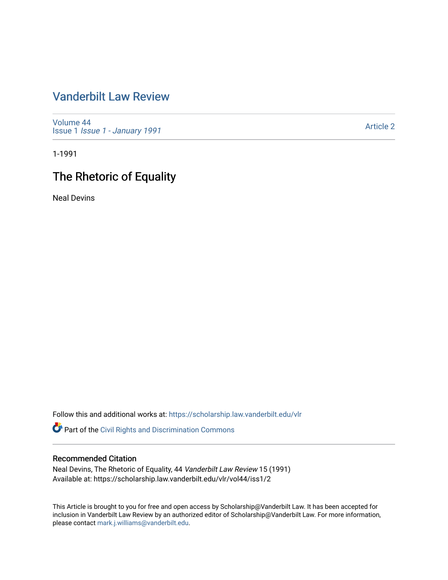# [Vanderbilt Law Review](https://scholarship.law.vanderbilt.edu/vlr)

[Volume 44](https://scholarship.law.vanderbilt.edu/vlr/vol44) Issue 1 [Issue 1 - January 1991](https://scholarship.law.vanderbilt.edu/vlr/vol44/iss1)

[Article 2](https://scholarship.law.vanderbilt.edu/vlr/vol44/iss1/2) 

1-1991

# The Rhetoric of Equality

Neal Devins

Follow this and additional works at: [https://scholarship.law.vanderbilt.edu/vlr](https://scholarship.law.vanderbilt.edu/vlr?utm_source=scholarship.law.vanderbilt.edu%2Fvlr%2Fvol44%2Fiss1%2F2&utm_medium=PDF&utm_campaign=PDFCoverPages)

Part of the [Civil Rights and Discrimination Commons](http://network.bepress.com/hgg/discipline/585?utm_source=scholarship.law.vanderbilt.edu%2Fvlr%2Fvol44%2Fiss1%2F2&utm_medium=PDF&utm_campaign=PDFCoverPages) 

# Recommended Citation

Neal Devins, The Rhetoric of Equality, 44 Vanderbilt Law Review 15 (1991) Available at: https://scholarship.law.vanderbilt.edu/vlr/vol44/iss1/2

This Article is brought to you for free and open access by Scholarship@Vanderbilt Law. It has been accepted for inclusion in Vanderbilt Law Review by an authorized editor of Scholarship@Vanderbilt Law. For more information, please contact [mark.j.williams@vanderbilt.edu.](mailto:mark.j.williams@vanderbilt.edu)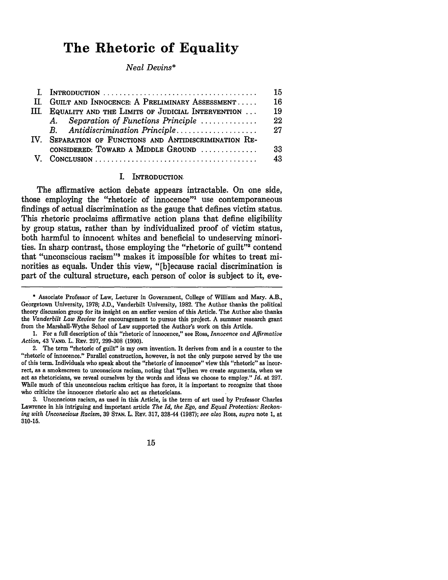# **The Rhetoric of Equality**

### *Neal Devins\**

|                                                        | 15 |
|--------------------------------------------------------|----|
| II. GUILT AND INNOCENCE: A PRELIMINARY ASSESSMENT      |    |
| III. EQUALITY AND THE LIMITS OF JUDICIAL INTERVENTION  |    |
| Separation of Functions Principle<br>A.                | 22 |
| B. Antidiscrimination Principle                        | 27 |
| IV. SEPARATION OF FUNCTIONS AND ANTIDISCRIMINATION RE- |    |
| CONSIDERED: TOWARD A MIDDLE GROUND                     | 33 |
|                                                        | 43 |

#### I. **INTRODUCTION,**

The affirmative action debate appears intractable. On one side, those employing the "rhetoric of innocence"<sup>1</sup> use contemporaneous findings of actual discrimination as the gauge that defines victim status. This rhetoric proclaims affirmative action plans that define eligibility by group status, rather than by individualized proof of victim status, both harmful to innocent whites and beneficial to undeserving minorities. In sharp contrast, those employing the "rhetoric of guilt"' contend that "unconscious racism"<sup>3</sup> makes it impossible for whites to treat minorities as equals. Under this view, "[b]ecause racial discrimination is part of the cultural structure, each person of color is subject to it, eve-

**1.** For a full description of this "rhetoric of innocence," see Ross, *Innocence and Affirmative Action,* 43 **VAND.** L. REv. **297, 299-308 (1990).**

**3.** Unconscious racism, as used in this Article, is the term of art used **by** Professor Charles Lawrence in his intriguing and important article *The Id, the Ego, and Equal Protection: Reckoning with Unconscious Racism,* **39 STAN.** L. R.v. **317,** 328-44 **(1987);** *see also* Ross, *supra* note **1,** at **310-15.**

#### 15

<sup>\*</sup> Associate Professor of Law, Lecturer in Government, College of William and Mary. A.B., Georgetown University, **1978; J.D.,** Vanderbilt University, **1982.** The Author thanks the political theory discussion group for its insight on an earlier version of this Article. The Author also thanks the *Vanderbilt Law Review* for encouragement to pursue this project. **A** summer research grant from the Marshall-Wythe School of Law supported the Author's work on this Article.

<sup>2.</sup> The term "rhetoric of guilt" is my own invention. It derives from and is a counter to the "rhetoric of innocence." Parallel construction, however, is not the only purpose served **by** the use of this term. Individuals who speak about the "rhetoric of innocence" view this "rhetoric" as incorrect, as a smokescreen to unconscious racism, noting that "[w]hen we create arguments, when we act as rhetoricians, we reveal ourselves **by** the words and ideas we choose to employ." *Id.* at **297.** While much of this unconscious racism critique has force, it is important to recognize that those who criticize the innocence rhetoric also act as rhetoricians.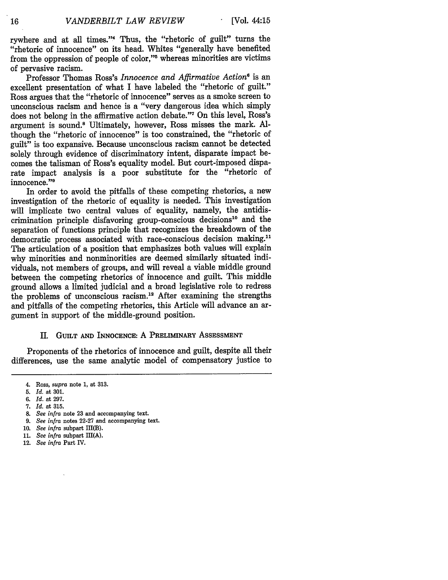rywhere and at all times."4 Thus, the "rhetoric of guilt" turns the "rhetoric of innocence" on its head. Whites "generally have benefited from the oppression of people of color,"'5 whereas minorities are victims of pervasive racism.

Professor Thomas Ross's *Innocence and Affirmative Action'* is an excellent presentation of what I have labeled the "rhetoric of guilt." Ross argues that the "rhetoric of innocence" serves as a smoke screen to unconscious racism and hence is a "very dangerous idea which simply does not belong in the affirmative action debate."7 On this level, Ross's argument is sound." Ultimately, however, Ross misses the mark. Although the "rhetoric of innocence" is too constrained, the "rhetoric of guilt" is too expansive. Because unconscious racism cannot be detected solely through evidence of discriminatory intent, disparate impact becomes the talisman of Ross's equality model. But court-imposed disparate impact analysis is a poor substitute for the "rhetoric of innocence."9

In order to avoid the pitfalls of these competing rhetorics, a new investigation of the rhetoric of equality is needed. This investigation will implicate two central values of equality, namely, the antidiscrimination principle disfavoring group-conscious decisions<sup>10</sup> and the separation of functions principle that recognizes the breakdown of the democratic process associated with race-conscious decision making." The articulation of a position that emphasizes both values will explain why minorities and nonminorities are deemed similarly situated individuals, not members of groups, and will reveal a viable middle ground between the competing rhetorics of innocence and guilt. This middle ground allows a limited judicial and a broad legislative role to redress the problems of unconscious racism.<sup>12</sup> After examining the strengths and pitfalls of the competing rhetorics, this Article will advance an argument in support of the middle-ground position.

#### II. GUILT **AND INNOCENCE:** A PRELIMINARY AsSESSMENT

Proponents of the rhetorics of innocence and guilt, despite all their differences, use the same analytic model of compensatory justice to

- *8. See infra* note **23** and accompanying text.
- 9. *See infra* notes 22-27 and accompanying text.

- **11.** *See infra* subpart III(A).
- 12. *See infra* Part IV.

<sup>4.</sup> Ross, *supra* note **1,** at **313.**

**<sup>5.</sup>** *Id.* at **301.**

**<sup>6.</sup>** *Id.* at **297.**

**<sup>7.</sup>** *Id.* at **315.**

<sup>10.</sup> *See infra* subpart HI(B).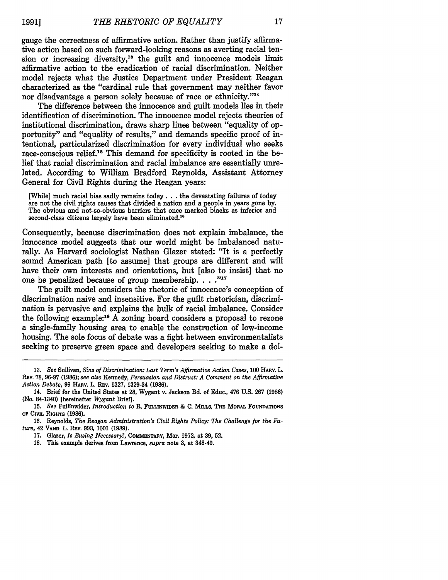gauge the correctness of affirmative action. Rather than justify affirmative action based on such forward-looking reasons as averting racial tension or increasing diversity,<sup>13</sup> the guilt and innocence models limit affirmative action to the eradication of racial discrimination. Neither model rejects what the Justice Department under President Reagan characterized as the "cardinal rule that government may neither favor nor disadvantage a person solely because of race or ethnicity."<sup>14</sup>

The difference between the innocence and guilt models lies in their identification of discrimination. The innocence model rejects theories of institutional discrimination, draws sharp lines between "equality of opportunity" and "equality of results," and demands specific proof of intentional, particularized discrimination for every individual who seeks race-conscious relief.'5 This demand for specificity is rooted in the belief that racial discrimination and racial imbalance are essentially unrelated. According to William Bradford Reynolds, Assistant Attorney General for Civil Rights during the Reagan years:

[While] much racial bias sadly remains **today...** the devastating failures of today are not the civil rights causes that divided a nation and a people in years gone **by.** The obvious and not-so-obvious barriers that once marked blacks as inferior and second-class citizens largely have been eliminated.<sup>16</sup>

Consequently, because discrimination does not explain imbalance, the innocence model suggests that our world might be imbalanced naturally. As Harvard sociologist Nathan Glazer stated: "It is a perfectly sound American path [to assume] that groups are different and **will** have their own interests and orientations, but [also to insist] that no one be penalized because of group membership. **.. ."**

The guilt model considers the rhetoric of innocence's conception of discrimination naive and insensitive. For the guilt rhetorician, discrimination is pervasive and explains the bulk of racial imbalance. Consider the following example:<sup>18</sup> A zoning board considers a proposal to rezone a single-family housing area to enable the construction of low-income housing. The sole focus of debate was a fight between environmentalists seeking to preserve green space and developers seeking to make a dol-

**<sup>13.</sup>** *See* Sullivan, *Sins of Discrimination: Last Term's Affirmative Action Cases,* **100 HARV.** L. Rzv. 78, 96-97 (1986); *see also* Kennedy, *Persuasion and Distrust: A Comment on the Affirmative Action Debate,* 99 HARv. L. REv. 1327, 1329-34 (1986).

<sup>14.</sup> Brief for the United States at 28, Wygant v. Jackson Bd. of Educ., 476 U.S. 267 (1986) (No. 84-1340) [hereinafter *Wygant* Brief].

**<sup>15.</sup>** *See* Fullinwider, *Introduction to* R. FuLiNwman & **C. MILLS, THE MoRAL** FOUNDATIONS *OF* **CIVIL RIGHTS (1986).**

**<sup>16.</sup>** Reynolds, *The Reagan Administration's Civil Rights Policy: The Challenge for the Future,* 42 **VAND.** L. RaV. 993, 1001 (1989).

<sup>17.</sup> Glazer, *Is Busing Necessary?,* **COMMzNTARY,** Mar. 1972, at **39,** 52.

<sup>18.</sup> This example derives from Lawrence, *supra* note 3, at 348-49.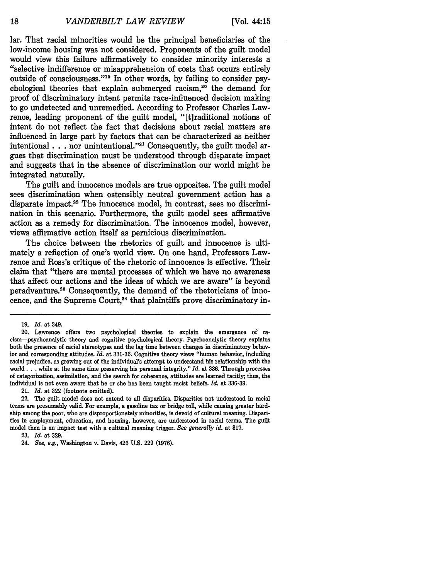lar. That racial minorities would be the principal beneficiaries of the low-income housing was not considered. Proponents of the guilt model would view this failure affirmatively to consider minority interests a "selective indifference or misapprehension of costs that occurs entirely outside of consciousness."19 In other words, by failing to consider psychological theories that explain submerged racism,<sup>20</sup> the demand for proof of discriminatory intent permits race-influenced decision making to go undetected and unremedied. According to Professor Charles Lawrence, leading proponent of the guilt model, "[t]raditional notions of intent do not reflect the fact that decisions about racial matters are influenced in large part by factors that can be characterized as neither intentional **...** nor unintentional."<sup>21</sup> Consequently, the guilt model argues that discrimination must be understood through disparate impact and suggests that in the absence of discrimination our world might be integrated naturally.

The guilt and innocence models are true opposites. The guilt model sees discrimination when ostensibly neutral government action has a disparate impact.<sup>22</sup> The innocence model, in contrast, sees no discrimination in this scenario. Furthermore, the guilt model sees affirmative action as a remedy for discrimination. The innocence model, however, views affirmative action itself as pernicious discrimination.

The choice between the rhetorics of guilt and innocence is ultimately a reflection of one's world view. On one hand, Professors Lawrence and Ross's critique of the rhetoric of innocence is effective. Their claim that "there are mental processes of which we have no awareness that affect our actions and the ideas of which we are aware" is beyond peradventure.<sup>23</sup> Consequently, the demand of the rhetoricians of innocence, and the Supreme Court,<sup>24</sup> that plaintiffs prove discriminatory in-

<sup>19.</sup> *Id.* at 349.

<sup>20.</sup> Lawrence offers two psychological theories to explain the emergence of racism-psychoanalytic theory and cognitive psychological theory. Psychoanalytic theory explains both the presence of racial stereotypes and the lag time between changes in discriminatory behavior and corresponding attitudes. *Id.* at 331-36. Cognitive theory views "human behavior, including racial prejudice, as growing out of the individual's attempt to understand his relationship with the world. **. .** while at the same time preserving his personal integrity." *Id.* at 336. Through processes of categorization, assimilation, and the search for coherence, attitudes are learned tacitly; thus, the individual is not even aware that he or she has been taught racist beliefs. *Id.* at 336-39.

<sup>21.</sup> *Id.* at **322** (footnote omitted).

<sup>22.</sup> The guilt model does not extend to all disparities. Disparities not understood in racial terms are presumably valid. For example, a gasoline tax or bridge toll, while causing greater hardship among the poor, who are disproportionately minorities, is devoid of cultural meaning. Disparities in employment, education, and housing, however, are understood in racial terms. The guilt model then is an'impact test with a cultural meaning trigger. *See generally id.* at 317.

<sup>23.</sup> *Id.* at 329.

<sup>24.</sup> See, e.g., Washington v. Davis, 426 U.S. 229 (1976).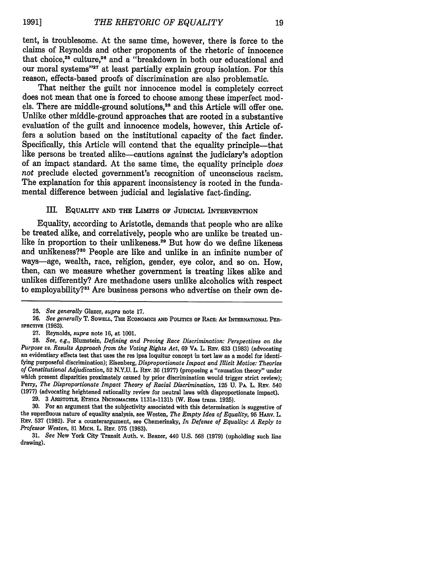tent, is troublesome. At the same time, however, there is force to the claims of Reynolds and other proponents of the rhetoric of innocence that choice, $25$  culture, $25$  and a "breakdown in both our educational and our moral systems"<sup>27</sup> at least partially explain group isolation. For this reason, effects-based proofs of discrimination are also problematic.

That neither the guilt nor innocence model is completely correct does not mean that one is forced to choose among these imperfect models. There are middle-ground solutions,<sup>28</sup> and this Article will offer one. Unlike other middle-ground approaches that are rooted in a substantive evaluation of the guilt and innocence models, however, this Article offers a solution based on the institutional capacity of the fact finder. Specifically, this Article will contend that the equality principle-that like persons be treated alike-cautions against the judiciary's adoption of an impact standard. At the same time, the equality principle *does not* preclude elected government's recognition of unconscious racism. The explanation for this apparent inconsistency is rooted in the fundamental difference between judicial and legislative fact-finding.

# III. **EQUALITY AND THE LIMITS OF JUDICIAL INTERVENTION**

Equality, according to Aristotle, demands that people who are alike be treated alike, and correlatively, people who are unlike be treated unlike in proportion to their unlikeness.<sup>29</sup> But how do we define likeness and unlikeness?<sup>30</sup> People are like and unlike in an infinite number of ways-age, wealth, race, religion, gender, eye color, and so on. How, then, can we measure whether government is treating likes alike and unlikes differently? Are methadone users unlike alcoholics with respect to employability?<sup>31</sup> Are business persons who advertise on their own de-

**<sup>25.</sup>** *See generally* Glazer, *supra* note **17.**

**<sup>26.</sup>** *See generally* T. **SOWELL, THE ECONOMICS AND PoLrrics OF RACE: AN INTERNATIONAL PERsPECTIVE (1983).**

**<sup>27.</sup>** Reynolds, *supra* note **16,** at **1001.**

**<sup>28.</sup>** *See, e.g.,* Blumstein, *Defining and Proving Race Discrimination: Perspectives on the* an evidentiary effects test that uses the res ipsa loquitur concept in tort law as a model for identifying purposeful discrimination); Eisenberg, *Disproportionate Impact and Illicit Motive: Theories of Constitutional Adjudication,* 52 N.Y.U. L. **REv.** 36 (1977) (proposing a "causation theory" under which present disparities proximately caused by prior discrimination would trigger strict review); Perry, *The Disproportionate Impact Theory of Racial Discrimination*, 125 U. PA. L. Rev. 540 (1977) (advocating heightened rationality review for neutral laws with disproportionate impact).

<sup>29. 3</sup> ARISTOTLE, **ETHICA** NICHOMACHEA 1131a-1131b (W. Ross trans. 1925).

**<sup>30.</sup>** For an argument that the subjectivity associated with this determination is suggestive of the superfluous nature of equality analysis, see Westen, *The Empty Idea of Equality*, 95 HARV. L. **REv. 537** (1982). For a counterargument, see Chemerinsky, *In Defense of Equality: A Reply to Professor Westen,* 81 **MICH.** L. **REv.** 575 **(1983).**

**<sup>31.</sup>** *See* New York City Transit Auth. v. Beazer, 440 U.S. 568 (1979) (upholding such line drawing).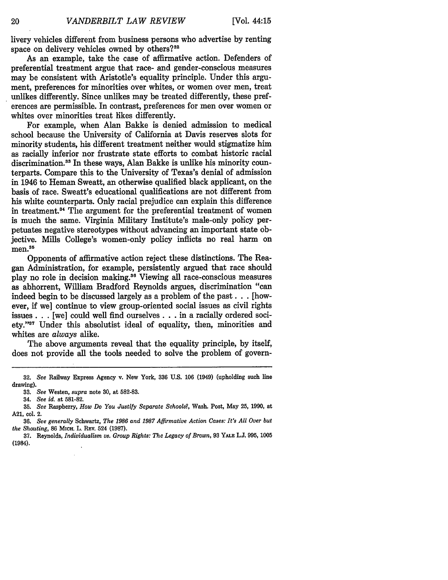livery vehicles different from business persons who advertise by renting space on delivery vehicles owned by others?<sup>32</sup>

As an example, take the case of affirmative action. Defenders of preferential treatment argue that race- and gender-conscious measures may be consistent with Aristotle's equality principle. Under this argument, preferences for minorities over whites, or women over men, treat unlikes differently. Since unlikes may be treated differently, these preferences are permissible. In contrast, preferences for men over women or whites over minorities treat likes differently.

For example, when Alan Bakke is denied admission to medical school because the University of California at Davis reserves slots for minority students, his different treatment neither would stigmatize him as racially inferior nor frustrate state efforts to combat historic racial discrimination.<sup>33</sup> In these ways, Alan Bakke is unlike his minority counterparts. Compare this to the University of Texas's denial of admission in 1946 to Heman Sweatt, an otherwise qualified black applicant, on the basis of race. Sweatt's educational qualifications are not different from his white counterparts. Only racial prejudice can explain this difference in treatment.<sup>34</sup> The argument for the preferential treatment of women is much the same. Virginia Military Institute's male-only policy perpetuates negative stereotypes without advancing an important state objective. Mills College's women-only policy inflicts no real harm on .<br>men.<sup>35</sup>

Opponents of affirmative action reject these distinctions. The Reagan Administration, for example, persistently argued that race should play no role in decision making.36 Viewing all race-conscious measures as abhorrent, William Bradford Reynolds argues, discrimination "can indeed begin to be discussed largely as a problem of the past **...** [however, if we] continue to view group-oriented social issues as civil rights issues **...** [we] could well find ourselves **...** in a racially ordered society."37 Under this absolutist ideal of equality, then, minorities and whites are *always* alike.

The above arguments reveal that the equality principle, **by** itself, does not provide all the tools needed to solve the problem of govern-

**<sup>32.</sup>** *See* Railway Express Agency v. New York, **336 U.S. 106** (1949) (upholding such line drawing).

<sup>33.</sup> *See* Westen, *supra* note 30, at 582-83.

<sup>34.</sup> *See id.* at 581-82.

**<sup>35.</sup>** *See* Raspberry, *How Do You Justify Separate Schools?,* Wash. Post, May 25, 1990, at A21, col. 2.

<sup>36.</sup> *See generally* Schwartz, *The 1986 and 1987 Affirmative Action Cases: It's All Over but the Shouting,* 86 **MICH.** L. Rav. 524 (1987).

<sup>37.</sup> Reynolds, *Individualism vs. Group Rights: The Legacy of Brown,* 93 **YALE.** L.J. 995, 1005 (1984).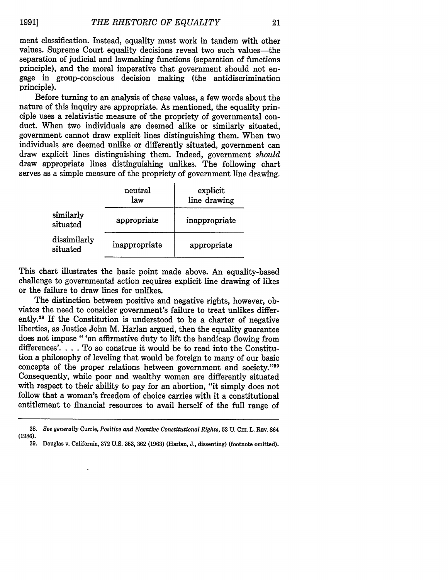ment classification. Instead, equality must work in tandem with other values. Supreme Court equality decisions reveal two such values-the separation of judicial and lawmaking functions (separation of functions principle), and the moral imperative that government should not engage in group-conscious decision making (the antidiscrimination principle).

Before turning to an analysis of these values, a few words about the nature of this inquiry are appropriate. As mentioned, the equality principle uses a relativistic measure of the propriety of governmental conduct. When two individuals are deemed alike or similarly situated, government cannot draw explicit lines distinguishing them. When two individuals are deemed unlike or differently situated, government can draw explicit lines distinguishing them. Indeed, government *should* draw appropriate lines distinguishing unlikes. The following chart serves as a simple measure of the propriety of government line drawing.

|                          | neutral<br>law | explicit<br>line drawing |
|--------------------------|----------------|--------------------------|
| similarly<br>situated    | appropriate    | inappropriate            |
| dissimilarly<br>situated | inappropriate  | appropriate              |

This chart illustrates the basic point made above. An equality-based challenge to governmental action requires explicit line drawing of likes or the failure to draw lines for unlikes.

The distinction between positive and negative rights, however, obviates the need to consider government's failure to treat unlikes differently.<sup>38</sup> If the Constitution is understood to be a charter of negative liberties, as Justice John M. Harlan argued, then the equality guarantee does not impose "'an affirmative duty to lift the handicap flowing from differences'. . . To so construe it would be to read into the Constitution a philosophy of leveling that would be foreign to many of our basic concepts of the proper relations between government and society."<sup>39</sup> Consequently, while poor and wealthy women are differently situated with respect to their ability to pay for an abortion, "it simply does not follow that a woman's freedom of choice carries with it a constitutional entitlement to financial resources to avail herself of the **full** range of

**39.** Douglas v. California, **372 U.S. 353, 362 (1963)** (Harlan, **J.,** dissenting) (footnote omitted).

*<sup>38.</sup> See generally* Currie, *Positive and Negative Constitutional Rights,* **53** U. **CHL** L. REv. 864 **(1986).**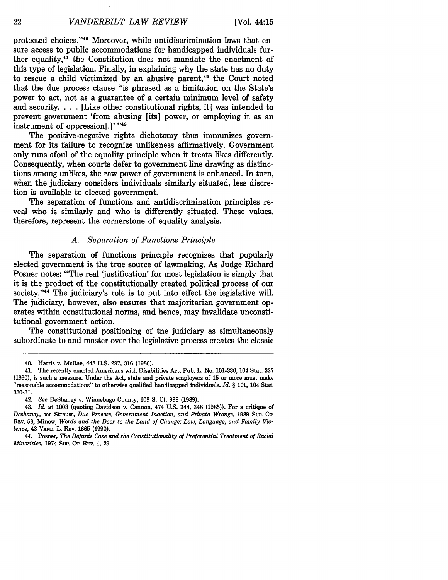protected choices. '40 Moreover, while antidiscrimination laws that ensure access to public accommodations for handicapped individuals further equality,<sup>41</sup> the Constitution does not mandate the enactment of this type of legislation. Finally, in explaining why the state has no duty to rescue a child victimized by an abusive parent,<sup>42</sup> the Court noted that the due process clause "is phrased as a limitation on the State's power to act, not as a guarantee of a certain minimum level of safety and security. . **.** . [Like other constitutional rights, it] was intended to prevent government 'from abusing [its] power, or employing it as an instrument of oppression $[.]$ <sup>,  $,43$ </sup>

The positive-negative rights dichotomy thus immunizes government for its failure to recognize unlikeness affirmatively. Government only runs afoul of the equality principle when it treats likes differently. Consequently, when courts defer to government line drawing as distinctions among unlikes, the raw power of government is enhanced. In turn, when the judiciary considers individuals similarly situated, less discretion is available to elected government.

The separation of functions and antidiscrimination principles reveal who is similarly and who is differently situated. These values, therefore, represent the cornerstone of equality analysis.

#### *A. Separation of Functions Principle*

The separation of functions principle recognizes that popularly elected government is the true source of lawmaking. As Judge Richard Posner notes: "The real 'justification' for most legislation is simply that it is the product of the constitutionally created political process of our society."<sup>44</sup> The judiciary's role is to put into effect the legislative will. The judiciary, however, also ensures that majoritarian government operates within constitutional norms, and hence, may invalidate unconstitutional government action.

The constitutional positioning of the judiciary as simultaneously subordinate to and master over the legislative process creates the classic

<sup>40.</sup> Harris v. McRae, 448 **U.S.** 297, **316 (1980).**

<sup>41.</sup> The recently enacted Americans with Disabilities Act, Pub. L. No. 101-336, 104 Stat. 327 (1990), is such a measure. Under the Act, state and private employers of 15 or more must make "reasonable accommodations" to otherwise qualified handicapped individuals. *Id. §* 101, 104 Stat. 330-31.

<sup>42.</sup> *See* DeShaney v. Winnebago County, 109 S. Ct. 998 (1989).

<sup>43.</sup> *Id.* at 1003 (quoting Davidson v. Cannon, 474 U.S. 344, 348 (1985)). For a critique of *Deshaney,* see Strauss, *Due Process, Government Inaction, and Private Wrongs,* 1989 **SuP. CT.** REV. **53;** Minow, *Words and the Door to the Land of Change: Law, Language, and Family Violence,* 43 **VAND.** L. REv. 1665 (1990).

<sup>44.</sup> Posner, *The Defunis Case and the Constitutionality of Preferential Treatment of Racial Minorities,* 1974 Sup. **CT.** REv. 1, 29.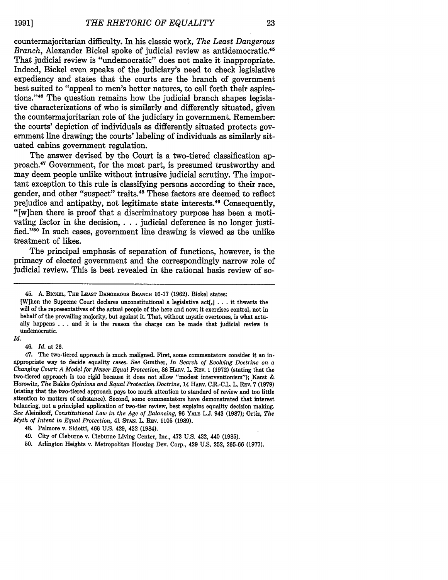countermajoritarian difficulty. In his classic work, *The Least Dangerous Branch,* Alexander Bickel spoke of judicial review as antidemocratic.4<sup>5</sup> That judicial review is "undemocratic" does not make it inappropriate. Indeed, Bickel even speaks of the judiciary's need to check legislative expediency and states that the courts are the branch of government best suited to "appeal to men's better natures, to call forth their aspirations."<sup>46</sup> The question remains how the judicial branch shapes legislative characterizations of who is similarly and differently situated, given the countermajoritarian role of the judiciary in government. Remember: the courts' depiction of individuals as differently situated protects government line drawing; the courts' labeling of individuals as similarly situated cabins government regulation.

The answer devised **by** the Court is a two-tiered classification approach. 7 Government, for the most part, is presumed trustworthy and may deem people unlike without intrusive judicial scrutiny. The important exception to this rule is classifying persons according to their race, gender, and other "suspect" traits.<sup>48</sup> These factors are deemed to reflect prejudice and antipathy, not legitimate state interests.49 Consequently, "[w]hen there is proof that a discriminatory purpose has been a motivating factor in the decision, **. . .** judicial deference is no longer justified."<sup>50</sup> In such cases, government line drawing is viewed as the unlike treatment of likes.

The principal emphasis of separation of functions, however, is the primacy of elected government and the correspondingly narrow role of judicial review. This is best revealed in the rational basis review of so-

[W]hen the Supreme Court declares unconstitutional a legislative act[,J **. . .** it thwarts the will of the representatives of the actual people of the here and now; it exercises control, not in behalf of the prevailing majority, but against it. That, without mystic overtones, is what actually happens **. . .** and it is the reason the charge can be made that judicial review is undemocratic.

*Id.*

46. *Id.* at **26.**

<sup>45.</sup> **A. BICKEL, THE LEAST DANGEROUS BRANCH 16-17 (1962).** Bickel states:

<sup>47.</sup> The two-tiered approach is much maligned. First, some commentators consider it an inappropriate way to decide equality cases. See Gunther, In Search of Evolving Doctrine on a Changing Court: A Model for Newer Equal Protection, 86 HARV. L. REV. 1 (1972) (stating that the two-tiered approach is too rigid because it does not allow "modest interventionism"); Karst **&** Horowitz, *The* Bakke *Opinions and Equal Protection Doctrine,* 14 HARv. **C.R.-C.L.** L. REv. **7 (1979)** (stating that the two-tiered approach pays too much attention to standard of review and too little attention to matters of substance). Second, some commentators have demonstrated that interest balancing, not a principled application of two-tier review, best explains equality decision making. *See* Aleinikoff, *Constitutional Law in the Age of Balancing,* **96** YALE **L.J.** 943 **(1987);** Ortiz, *The Myth of Intent in Equal Protection,* 41 **STAN.** L. REv. **1105 (1989).**

<sup>48.</sup> Palmore v. Sidotti, 466 **U.S.** 429, 432 (1984).

<sup>49.</sup> City of Cleburne v. Cleburne Living Center, Inc., 473 **U.S.** 432, 440 **(1985).**

**<sup>50.</sup>** Arlington Heights v. Metropolitan Housing **Dev.** Corp., 429 **U.S. 252, 265-66 (1977).**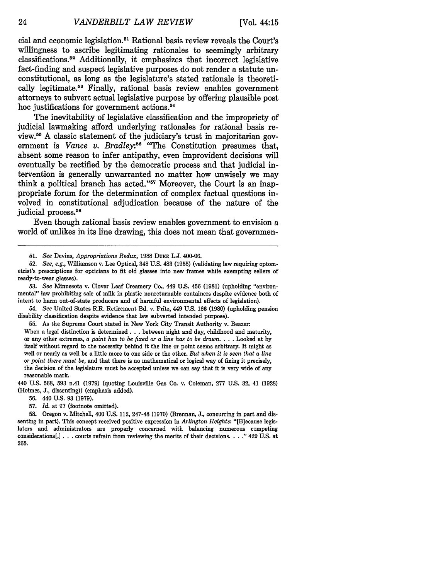cial and economic legislation.<sup>51</sup> Rational basis review reveals the Court's willingness to ascribe legitimating rationales to seemingly arbitrary classifications.<sup>52</sup> Additionally, it emphasizes that incorrect legislative fact-finding and suspect legislative purposes do not render a statute unconstitutional, as long as the legislature's stated rationale is theoretically legitimate.<sup>53</sup> Finally, rational basis review enables government attorneys to subvert actual legislative purpose **by** offering plausible post hoc justifications for government actions.<sup>54</sup>

The inevitability of legislative classification and the impropriety of judicial lawmaking afford underlying rationales for rational basis review. **55 A** classic statement of the judiciary's trust in majoritarian government is *Vance v. Bradley*:<sup>56</sup> "The Constitution presumes that, absent some reason to infer antipathy, even improvident decisions will eventually be rectified **by** the democratic process and that judicial intervention is generally unwarranted no matter how unwisely we may think a political branch has acted."<sup>57</sup> Moreover, the Court is an inappropriate forum for the determination of complex factual questions involved in constitutional adjudication because of the nature of the judicial process.<sup>58</sup>

Even though rational basis review enables government to envision a world of unlikes in its line drawing, this does not mean that governmen-

52. See, e.g., Williamson v. Lee Optical, 348 U.S. 483 (1955) (validating law requiring optometrist's prescriptions for opticians to fit old glasses into new frames while exempting sellers of ready-to-wear glasses).

53. *See* Minnesota v. Clover Leaf Creamery Co., 449 U.S. 456 (1981) (upholding "environmental" law prohibiting sale of milk in plastic nonreturnable containers despite evidence both of intent to harm out-of-state producers and of harmful environmental effects of legislation).

54. *See* United States R.R. Retirement Bd. v. Fritz, 449 U.S. 166 (1980) (upholding pension disability classification despite evidence that law subverted intended purpose).

55. As the Supreme Court stated in New York City Transit Authority v. Beazer: When a legal distinction is determined. **. .** between night and day, childhood and maturity, or any other extremes, a *point has to be fixed or a line has to be drawn* **....** Looked at by itself without regard to the necessity behind it the line or point seems arbitrary. It might as well or nearly as well be a little more to one side or the other. *But when it is seen that a line or point there must be,* and that there is no mathematical or logical way of fixing it precisely, the decision of the legislature must be accepted unless we can say that it is very wide of any reasonable mark.

440 U.S. 568, **593** n.41 (1979) (quoting Louisville Gas Co. v. Coleman, 277 U.S. 32, 41 (1928) (Holmes, J., dissenting)) (emphasis added).

56. 440 U.S. 93 (1979).

57. *Id.* at 97 (footnote omitted).

58. Oregon v. Mitchell, 400 U.S. 112, 247-48 (1970) (Brennan, J., concurring in part and dissenting in part). This concept received positive expression in *Arlington Heights:* "[B]ecause legislators and administrators are properly concerned with balancing numerous competing considerations[,] **.. .** courts refrain from reviewing the merits of their decisions. . **. ...** 429 U.S. at 265.

<sup>51.</sup> See Devins, *Appropriations Redux,* 1988 DuKE L.J. 400-06.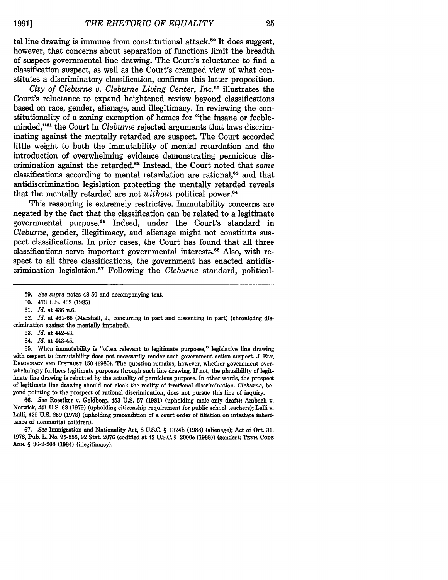tal line drawing is immune from constitutional attack.<sup>59</sup> It does suggest, however, that concerns about separation of functions limit the breadth of suspect governmental line drawing. The Court's reluctance to find a classification suspect, as well as the Court's cramped view of what constitutes a discriminatory classification, confirms this latter proposition.

*City of Cleburne v. Cleburne Living Center, Inc.6 <sup>0</sup>*illustrates the Court's reluctance to expand heightened review beyond classifications based on race, gender, alienage, and illegitimacy. In reviewing the constitutionality of a zoning exemption of homes for "the insane or feebleminded,"61 the Court in *Cleburne* rejected arguments that laws discriminating against the mentally retarded are suspect. The Court accorded little weight to both the immutability of mental retardation and the introduction of overwhelming evidence demonstrating pernicious discrimination against the retarded.<sup>62</sup> Instead, the Court noted that *some* classifications according to mental retardation are rational,<sup>63</sup> and that antidiscrimination legislation protecting the mentally retarded reveals that the mentally retarded are not *without* political power.<sup>64</sup>

This reasoning is extremely restrictive. Immutability concerns are negated by the fact that the classification can be related to a legitimate governmental purpose.<sup>85</sup> Indeed, under the Court's standard in *Cleburne,* gender, illegitimacy, and alienage might not constitute suspect classifications. In prior cases, the Court has found that all three classifications serve important governmental interests.<sup>66</sup> Also, with respect to all three classifications, the government has enacted antidiscrimination legislation.<sup>67</sup> Following the *Cleburne* standard, political-

- **63.** *Id.* at 442-43.
- 64. *Id.* at 443-45.

**65.** When immutability is "often relevant to legitimate purposes," legislative line drawing with respect to immutability does not necessarily render such government action suspect. **J. ELY, DEMOCRACY AND DISTRUST 150 (1980).** The question remains, however, whether government over- whelmingly furthers legitimate purposes through such line drawing. If not, the plausibility of legitimate line drawing is rebutted **by** the actuality of pernicious purpose. In other words, the prospect of legitimate line drawing should not cloak the reality of irrational discrimination. *Cleburne,* beyond pointing to the prospect of rational discrimination, does not pursue this line of inquiry.

**66.** *See* Roestker v. Goldberg, 453 **U.S. 57 (1981)** (upholding male-only draft); Ambach v. Norwick, 441 **U.S. 68 (1979)** (upholding citizenship requirement for public school teachers); Lalli v. Lalli, 439 **U.S. 259 (1978)** (upholding precondition of a court order of filiation on intestate inheritance of nonmarital children).

**67.** *See* Immigration and Nationality Act, 8 **U.S.C.** § 1324b **(1988)** (alienage); Act of Oct. **31, 1978,** Pub. L. No. **95-555, 92** Stat. **2076** (codified at 42 **U.S.C.** § 2000e **(1988))** (gender); **TENN. CoDE** *ANN.* § **36-2-208** (1984) (illegitimacy).

<sup>59.</sup> *See supra* notes 48-50 and accompanying text.

<sup>60. 473</sup> U.S. 432 (1985).

<sup>61.</sup> *Id.* at 436 n.6.

**<sup>62.</sup>** *Id.* at **461-65** (Marshall, **J.,** concurring in part and dissenting in part) (chronicling discrimination against the mentally impaired).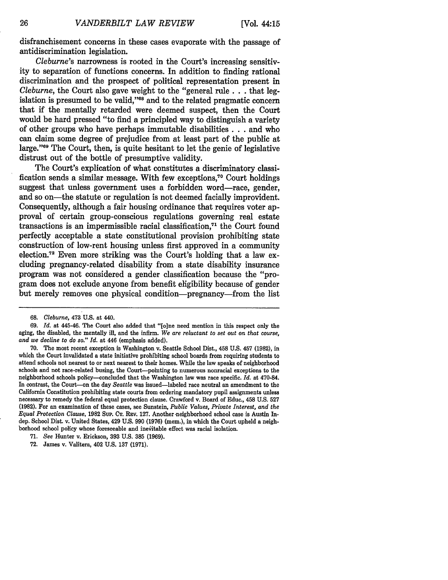disfranchisement concerns in these cases evaporate with the passage of antidiscrimination legislation.

*Cleburne's* narrowness is rooted in the Court's increasing sensitivity to separation of functions concerns. In addition to finding rational discrimination and the prospect of political representation present in *Cleburne,* the Court also gave weight to the "general rule. **. .** that legislation is presumed to be valid,"<sup>68</sup> and to the related pragmatic concern that if the mentally retarded were deemed suspect, then the Court would be hard pressed "to find a principled way to distinguish a variety of other groups who have perhaps immutable disabilities. **. .** and who can claim some degree of prejudice from at least part of the public at large."<sup>69</sup> The Court, then, is quite hesitant to let the genie of legislative distrust out of the bottle of presumptive validity.

The Court's explication of what constitutes a discriminatory classification sends a similar message. With few exceptions,<sup>70</sup> Court holdings suggest that unless government uses a forbidden word-race, gender, and so on—the statute or regulation is not deemed facially improvident. Consequently, although a fair housing ordinance that requires voter approval of certain group-conscious regulations governing real estate transactions is an impermissible racial classification, $71$  the Court found perfectly acceptable a state constitutional provision prohibiting state construction of low-rent housing unless first approved in a community election.72 Even more striking was the Court's holding that a law excluding pregnancy-related disability from a state disability insurance program was not considered a gender classification because the "program does not exclude anyone from benefit eligibility because of gender but merely removes one physical condition-pregnancy-from the list

<sup>68.</sup> *Cleburne,* 473 U.S. at 440.

<sup>69.</sup> *Id.* at 445-46. The Court also added that "[o]ne need mention in this respect only the aging, the disabled, the mentally ill, and the infirm. *We are reluctant to set out on that course, and we decline to do so." Id.* at *446* (emphasis added).

<sup>70.</sup> The most recent exception is Washington v. Seattle School Dist., 458 U.S. 457 (1982), in which the Court invalidated a state initiative prohibiting school boards from requiring students to attend schools not nearest to or next nearest to their homes. While the law speaks of neighborhood schools and not race-related busing, the Court-pointing to numerous nonracial exceptions to the neighborhood schools policy-concluded that the Washington law was race specific. *Id.* at 470-84. In contrast, the Court-on the day *Seattle* was issued-labeled race neutral an amendment to the California Constitution prohibiting state courts from ordering mandatory pupil assignments unless necessary to remedy the federal equal protection clause. Crawford v. Board of Educ., 458 U.S. **527** (1982). For an examination of these cases, see Sunstein, *Public Values, Private Interest, and the Equal Protection Clause, 1982 Sup. CT. REV. 127. Another neighborhood school case is Austin In*dep. School Dist. v. United States, 429 U.S. 990 (1976) (mem.), in which the Court upheld a neighborhood school policy whose foreseeable and inevitable effect was racial isolation.

<sup>71.</sup> *See* Hunter v. Erickson, **393** U.S. **385** (1969).

<sup>72.</sup> James v. Valitera, 402 U.S. 137 (1971).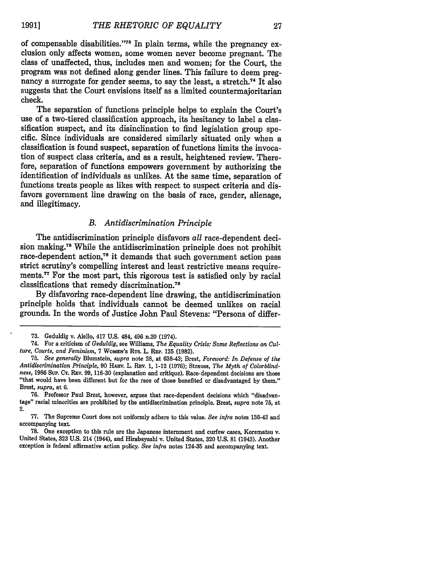of compensable disabilities."73 In plain terms, while the pregnancy exclusion only affects women, some women never become pregnant. The class of unaffected, thus, includes men and women; for the Court, the program was not defined along. gender lines. This failure to deem pregnancy a surrogate for gender seems, to say the least, a stretch.<sup>74</sup> It also suggests that the Court envisions itself as a limited countermajoritarian check.

The separation of functions principle helps to explain the Court's use of a two-tiered classification approach, its hesitancy to label a classification suspect, and its disinchination to find legislation group specific. Since individuals are considered similarly situated only when a classification is found suspect, separation of functions limits the invocation of suspect class criteria, and as a result, heightened review. Therefore, separation of functions empowers government by authorizing the identification of individuals as unlikes. At the same time, separation of functions treats people as likes with respect to suspect criteria and disfavors government line drawing on the basis of race, gender, alienage, and illegitimacy.

### *B. Antidiscrimination Principle*

The antidiscrimination principle disfavors *all* race-dependent decision making.75 While the antidiscrimination principle does not prohibit race-dependent action,<sup>76</sup> it demands that such government action pass strict scrutiny's compelling interest and least restrictive means requirements.<sup>77</sup> For the most part, this rigorous test is satisfied only by racial classifications that remedy discrimination.<sup>78</sup>

By disfavoring race-dependent line drawing, the antidiscrimination principle holds that individuals cannot be deemed unlikes on racial grounds. In the words of Justice John Paul Stevens: "Persons of differ-

<sup>73.</sup> Geduldig v. Aiello, 417 U.S. 484, 496 n.20 (1974).

<sup>74.</sup> For a criticism of *Geduldig,* see Williams, *The Equality Crisis: Some Reflections on Culture, Courts, and Feminism,* 7 WoMEN's RTs. L. REP. 125 (1982).

<sup>75.</sup> *See generally* Blumstein, *supra* note **28,** at 638-43; Brest, *Foreword: In Defense of the Antidiscrimination Principle,* 90 **HARv.** L. REv. **1,** 1-12 **(1976);** Strauss, *The Myth of Colorblindness,* 1986 Sup. **CT.** REv. 99, 116-30 (explanation and critique). Race-dependent decisions are those "that would have been different but for the race of those benefited or disadvantaged by them." Brest, *supra,* at 6.

<sup>76.</sup> Professor Paul Brest, however, argues that race-dependent decisions which "disadvantage" racial minorities are prohibited by the antidiscrimination principle. Brest, *supra* note 75, at 2.

<sup>77.</sup> The Supreme Court does not uniformly adhere to this value. *See infra* notes 136-43 and accompanying text.

<sup>78.</sup> One exception to this rule are the Japanese internment and curfew cases, Korematsu v. United States, 323 U.S. 214 (1944), and Hirabayashi v. United States, 320 U.S. 81 (1943). Another exception is federal affirmative action policy. *See infra* notes 124-35 and accompanying text.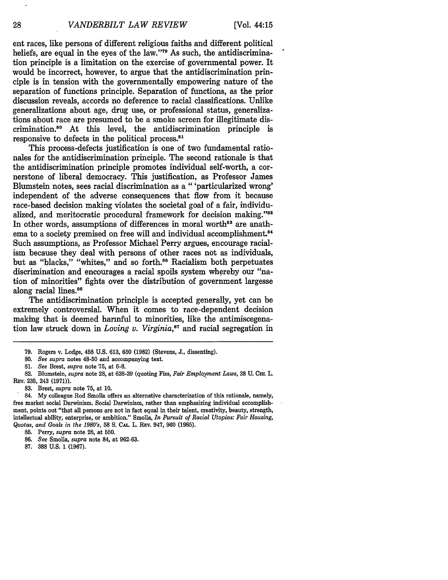ent races, like persons of different religious faiths and different political beliefs, are equal in the eyes of the law."'79 As such, the antidiscrimination principle is a limitation on the exercise of governmental power. It would be incorrect, however, to argue that the antidiscrimination principle is in tension with the governmentally empowering nature of the separation of functions principle. Separation of functions, as the prior discussion reveals, accords no deference to racial classifications. Unlike generalizations about age, drug use, or professional status, generalizations about race are presumed to be a smoke screen for illegitimate discrimination.80 At this level, the antidiscrimination principle is responsive to defects in the political process.<sup>81</sup>

This process-defects justification is one of two fundamental rationales for the antidiscrimination principle. The second rationale is that the antidiscrimination principle promotes individual self-worth, a cornerstone of liberal democracy. This justification, as Professor James Blumstein notes, sees racial discrimination as a "'particularized wrong' independent of the adverse consequences that flow from it because race-based decision making violates the societal goal of a fair, individualized, and meritocratic procedural framework for decision making."<sup>82</sup> In other words, assumptions of differences in moral worth<sup>83</sup> are anathema to a society premised on free will and individual accomplishment.<sup>84</sup> Such assumptions, as Professor Michael Perry argues, encourage racialism because they deal with persons of other races not as individuals, but as "blacks," "whites," and so forth.<sup>85</sup> Racialism both perpetuates discrimination and encourages a racial spoils system whereby our "nation of minorities" fights over the distribution of government largesse along racial lines.<sup>86</sup>

The antidiscrimination principle is accepted generally, yet can be extremely controversial. When it comes to race-dependent decision making that is deemed harmful to minorities, like the antimiscegenation law struck down in *Loving v. Virginia,87* and racial segregation in

28

<sup>79.</sup> Rogers v. Lodge, 458 U.S. 613, 650 (1982) (Stevens, J., dissenting).

<sup>80.</sup> *See supra* notes 48-50 and accompanying text.

**<sup>81.</sup>** *See* Brest, *supra* note 75, at 6-8.

<sup>82.</sup> Blumstein, *supra* note 28, at 638-39 (quoting Fiss, *Fair Employment Laws,* **38 U. Cm.** L. **REv.** 235, 243 (1971)).

**<sup>83.</sup>** Brest, *supra* note 75, at 10.

<sup>84.</sup> My colleague Rod Smolla offers an alternative characterization of this rationale, namely, free market social Darwinism. Social Darwinism, rather than emphasizing individual accomplishment, points out "that all persons are not in fact equal in their talent, creativity, beauty, strength, intellectual ability, enterprise, or ambition." Smolla, *In Pursuit of Racial Utopias: Fair Housing, Quotas, and Goals in the 1980's,* 58 S. CAL. L. REv. 947, 960 (1985).

<sup>85.</sup> Perry, *supra* note 28, at 550.

**<sup>86.</sup>** *See* Smolla, *supra* note 84, at 962-63.

<sup>87.</sup> **388** U.S. **1** (1967).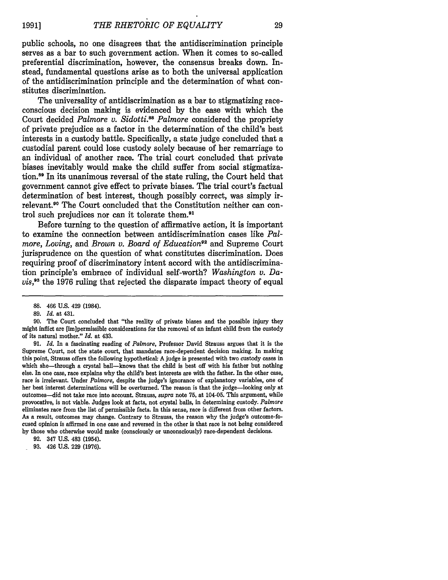public schools, no one disagrees that the antidiscrimination principle serves as a bar to such government action. When it comes to so-called preferential discrimination, however, the consensus breaks down. Instead, fundamental questions arise as to both the universal application of the antidiscrimination principle and the determination of what constitutes discrimination.

The universality of antidiscrimination as a bar to stigmatizing raceconscious decision making is evidenced **by** the ease with which the Court decided *Palmore v. Sidotti.s8 Palmore* considered the propriety of private prejudice as a factor in the determination of the child's best interests in a custody battle. Specifically, a state judge concluded that a custodial parent could lose custody solely because of her remarriage to an individual of another race. The trial court concluded that private biases inevitably would make the child suffer from social stigmatization.89 In its unanimous reversal of the state ruling, the Court held that government cannot give effect to private biases. The trial court's factual determination of best interest, though possibly correct, was simply irrelevant.90 The Court concluded that the Constitution neither can control such prejudices nor can it tolerate them.<sup>91</sup>

Before turning to the question of affirmative action, it is important to examine the connection between antidiscrimination cases like *Palmore, Loving, and Brown v. Board of Education92* and Supreme Court jurisprudence on the question of what constitutes discrimination. Does requiring proof of discriminatory intent accord with the antidiscrimination principle's embrace of individual self-worth? *Washington v. Davis,9 <sup>3</sup>*the 1976 ruling that rejected the disparate impact theory of equal

<sup>88. 466</sup> U.S. 429 (1984).

<sup>89.</sup> *Id.* at 431.

**<sup>90.</sup>** The Court concluded that "the reality of private biases and the possible injury they might inflict are [im]permissible considerations for the removal of an infant child from the custody of its natural mother." *Id.* at 433.

**<sup>91.</sup>** *Id.* In a fascinating reading of *Palmore,* Professor David Strauss argues that it is the Supreme Court, not the state court, that mandates race-dependent decision making. In making this point, Strauss offers the following hypothetical: **A** judge is presented with **two** custody cases in which she—through a crystal ball—knows that the child is best off with his father but nothing else. In one case, race explains why the child's best interests are with the father. In the other case, race is irrelevant. Under *Palmore,* despite the judge's ignorance of explanatory variables, one of her best interest determinations will be overturned. The reason is that the judge-looking only at outcomes-did not take race into account. Strauss, *supra* note **75,** at 104-05. This argument, while provocative, is not viable. Judges look at facts, not crystal balls, in determining custody. *Palmore* eliminates race from the list of permissible facts. In this sense, race is different from other factors. **As** a result, outcomes may change. Contrary to Strauss, the reason why the judge's outcome-focused opinion is affirmed in one case and reversed in the other is that race is not being considered **by** those who otherwise would make (consciously or unconsciously) race-dependent decisions.

**<sup>92.</sup>** 347 **U.S.** 483 (1954).

**<sup>93.</sup>** 426 **U.S. 229 (1976).**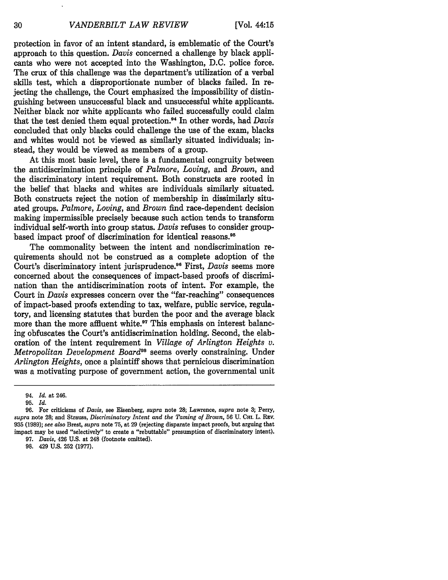protection in favor of an intent standard, is emblematic of the Court's approach to this question. *Davis* concerned a challenge by black applicants who were not accepted into the Washington, D.C. police force. The crux of this challenge was the department's utilization of a verbal skills test, which a disproportionate number of blacks failed. In rejecting the challenge, the Court emphasized the impossibility of distinguishing between unsuccessful black and unsuccessful white applicants. Neither black nor white applicants who failed successfully could claim that the test denied them equal protection.<sup>94</sup> In other words, had *Davis* concluded that only blacks could challenge the use of the exam, blacks and whites would not be viewed as similarly situated individuals; instead, they would be viewed as members of a group.

At this most basic level, there is a fundamental congruity between the antidiscrimination principle of *Palmore, Loving, and Brown,* and the discriminatory intent requirement. Both constructs are rooted in the belief that blacks and whites are individuals similarly situated. Both constructs reject the notion of membership in dissimilarly situated groups. *Palmore, Loving, and Brown* find race-dependent decision making impermissible precisely because such action tends to transform individual self-worth into group status. *Davis* refuses to consider groupbased impact proof of discrimination for identical reasons.<sup>95</sup>

The commonality between the intent and nondiscrimination requirements should not be construed as a complete adoption of the Court's discriminatory intent jurisprudence.<sup>96</sup> First, *Davis* seems more concerned about the consequences of impact-based proofs of discrimination than the antidiscrimination roots of intent. For example, the Court in *Davis* expresses concern over the "far-reaching" consequences of impact-based proofs extending to tax, welfare, public service, regulatory, and licensing statutes that burden the poor and the average black more than the more affluent white.<sup>97</sup> This emphasis on interest balancing obfuscates the Court's antidiscrimination holding. Second, the elaboration of the intent requirement in *Village of Arlington Heights v. Metropolitan Development Board98* seems overly constraining. Under *Arlington Heights,* once a plaintiff shows that pernicious discrimination was a motivating purpose of government action, the governmental unit

30

<sup>94.</sup> *Id.* at 246.

<sup>95.</sup> *Id.*

<sup>96.</sup> For criticisms of *Davis,* see Eisenberg, *supra* note 28; Lawrence, *supra* note 3; Perry, *supra* note 28; and Strauss, *Discriminatory Intent and the Taming of Brown,* 56 U. **CH.** L. **REV.** 935 (1989); *see also* Brest, *supra* note 75, at 29 (rejecting disparate impact proofs, but arguing that impact may be used "selectively" to create a "rebuttable" presumption of discriminatory intent). 97. *Davis,* 426 U.S. at 248 (footnote omitted).

<sup>98. 429</sup> U.S. 252 (1977).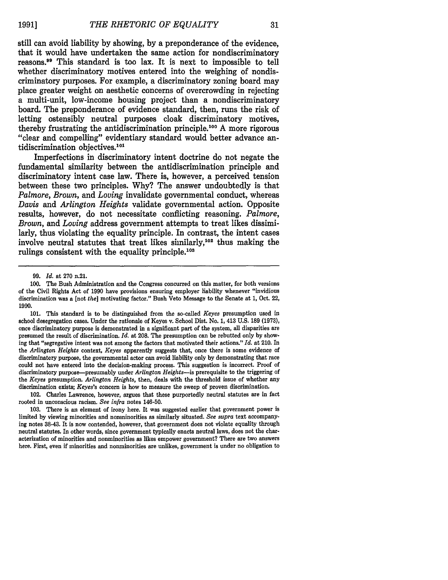still can avoid liability **by** showing, **by** a preponderance of the evidence, that it would have undertaken the same action for nondiscriminatory reasons.9 This standard is too lax. It is next to impossible to tell whether discriminatory motives entered into the weighing of nondiscriminatory purposes. For example, a discriminatory zoning board may place greater weight on aesthetic concerns of overcrowding in rejecting a multi-unit, low-income housing project than a nondiscriminatory board. The preponderance of evidence standard, then, runs the risk of letting ostensibly neutral purposes cloak discriminatory motives, thereby frustrating the antidiscrimination principle.100 **A** more rigorous "clear and compelling" evidentiary standard would better advance antidiscrimination **objectives.101**

Imperfections in discriminatory intent doctrine do not negate the fundamental similarity between the antidiscrimination principle and discriminatory intent case law. There is, however, a perceived tension between these two principles. **Why?** The answer undoubtedly is that *Palmore, Brown, and Loving* invalidate governmental conduct, whereas *Davis and Arlington Heights* validate governmental action. Opposite results, however, do not necessitate conflicting reasoning. *Palmore, Brown, and Loving* address government attempts to treat likes dissimilarly, thus violating the equality principle. In contrast, the intent cases involve neutral statutes that treat likes similarly,<sup>102</sup> thus making the rulings consistent with the equality principle.<sup>103</sup>

101. This standard is to be distinguished from the so-called *Keyes* presumption used in school desegregation cases. Under the rationale of Keyes v. School Dist. No. **1,** 413 U.S. **189** (1973), once discriminatory purpose is demonstrated in a significant part of the system, all disparities are presumed the result of discrimination. *Id.* at **208.** The presumption can be rebutted only by showing that "segregative intent was not among the factors that motivated their actions." *Id.* at 210. In the *Arlington Heights* context, *Keyes* apparently suggests that, once there is some evidence of discriminatory purpose, the governmental actor can avoid liability only by demonstrating that race could not have entered into the decision-making process. This suggestion is incorrect. Proof of discriminatory purpose-presumably under *Arlington Heights-is* prerequisite to the triggering of the *Keyes* presumption. *Arlington Heights,* then, deals with the threshold issue of whether any discrimination exists; *Keyes's* concern is how to measure the sweep of proven discrimination.

102. Charles Lawrence, however, argues that these purportedly neutral statutes are in fact rooted in unconscious racism. *See infra* notes 146-50.

**103.** There is an element of irony here. It was suggested earlier that government power is limited by viewing minorities and nonminorities as similarly situated. *See supra* text accompanying notes **38-43.** It is now contended, however, that government does not violate equality through neutral statutes. In other words, since government typically enacts neutral laws, does not the characterization of minorities and nonminorities as likes empower government? There are two answers here. First, even if minorities and nonminorities are unlikes, government is under no obligation to

<sup>99.</sup> *Id.* at 270 n.21.

**<sup>100.</sup>** The Bush Administration and the Congress concurred on this matter, for both versions of the Civil Rights Act of 1990 have provisions ensuring employer liability whenever "invidious discrimination was a [not *the]* motivating factor." Bush Veto Message to the Senate at 1, Oct. 22, **1990.**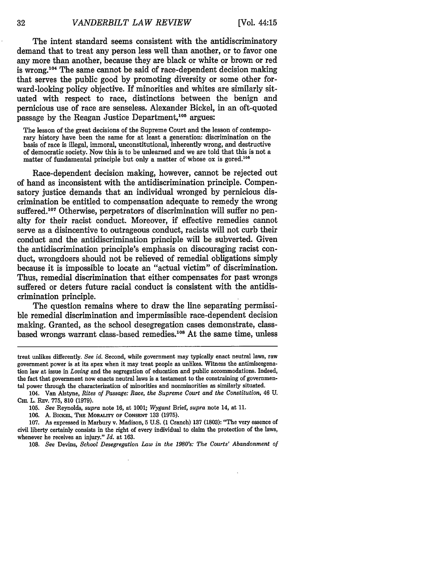The intent standard seems consistent with the antidiscriminatory demand that to treat any person less well than another, or to favor one any more than another, because they are black or white or brown or red is wrong.<sup>104</sup> The same cannot be said of race-dependent decision making that serves the public good **by** promoting diversity or some other forward-looking policy objective. If minorities and whites are similarly situated with respect to race, distinctions between the benign and pernicious use of race are senseless. Alexander Bickel, in an oft-quoted passage by the Reagan Justice Department,<sup>105</sup> argues:

The lesson of the great decisions of the Supreme Court and the lesson of contemporary history have been the same for at least a generation: discrimination on the basis of race is illegal, immoral, unconstitutional, inherently wrong, and destructive of democratic society. Now this is to be unlearned and we are told that this is not a matter of fundamental principle but only a matter of whose ox is gored.<sup>106</sup>

Race-dependent decision making, however, cannot be rejected out of hand as inconsistent with the antidiscrimination principle. Compensatory justice demands that an individual wronged by pernicious discrimination be entitled to compensation adequate to remedy the wrong suffered.<sup>107</sup> Otherwise, perpetrators of discrimination will suffer no penalty for their racist conduct. Moreover, if effective remedies cannot serve as a disincentive to outrageous conduct, racists will not curb their conduct and the antidiscrimination principle will be subverted. Given the antidiscrimination principle's emphasis on discouraging racist conduct, wrongdoers should not be relieved of remedial obligations simply because it is impossible to locate an "actual victim" of discrimination. Thus, remedial discrimination that either compensates for past wrongs suffered or deters future racial conduct is consistent with the antidiscrimination principle.

The question remains where to draw the line separating permissible remedial discrimination and impermissible race-dependent decision making. Granted, as the school desegregation cases demonstrate, classbased wrongs warrant class-based remedies.<sup>108</sup> At the same time, unless

106. **A.** BiCKEL, **THE MoRALITY OF CoNsENT 133** (1975).

107. As expressed in Marbury v. Madison, 5 U.S. (1 Cranch) 137 (1803): "The very essence of civil liberty certainly consists in the right of every individual to claim the protection of the laws, whenever he receives an injury." *Id.* at 163.

108. *See* Devins, *School Desegregation Law in the 1980's: The Courts' Abandonment of*

32

treat unlikes differently. *See id.* Second, while government may typically enact neutral laws, raw government power is at its apex when it may treat people as unlikes. Witness the antimiscegenation law at issue in *Loving* and the segregation of education and public accommodations. Indeed, the fact that government now enacts neutral laws is a testament to the constraining of governmental power through the characterization of minorities and nonminorities as similarly situated.

<sup>104.</sup> Van Alstyne, *Rites of Passage: Race, the Supreme Court and the Constitution,* 46 U. **CH.** L. REv. 775, 810 (1979).

<sup>105.</sup> *See* Reynolds, *supra* note 16, at 1001; *Wygant* Brief, *supra* note 14, at **11.**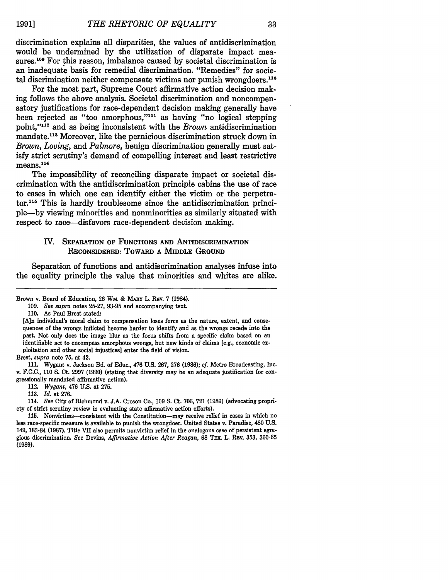discrimination explains all disparities, the values of antidiscrimination would be undermined **by** the utilization of disparate impact measures.<sup>109</sup> For this reason, imbalance caused by societal discrimination is an inadequate basis for remedial discrimination. "Remedies" for societal discrimination neither compensate victims nor punish wrongdoers.<sup>110</sup>

For the most part, Supreme Court affirmative action decision making follows the above analysis. Societal discrimination and noncompensatory justifications for race-dependent decision making generally have been rejected as "too amorphous,"<sup>111</sup> as having "no logical stepping point."<sup>112</sup> and as being inconsistent with the *Brown* antidiscrimination mandate.<sup>113</sup> Moreover, like the pernicious discrimination struck down in *Brown, Loving,* and *Palmore,* benign discrimination generally must satisfy strict scrutiny's demand of compelling interest and least restrictive  $means.<sup>114</sup>$ 

The impossibility of reconciling disparate impact or societal discrimination with the antidiscrimination principle cabins the use of race to cases in which one can identify either the victim or the perpetrator.<sup>115</sup> This is hardly troublesome since the antidiscrimination principle-by viewing minorities and nonminorities as similarly situated with respect to race—disfavors race-dependent decision making.

### IV. **SEPARATION** OF **FUNCTIONS AND** ANTIDISCRIMINATION RECONSIDERED: TOWARD **A** MIDDLE GROUND

Separation of functions and antidiscrimination analyses infuse into the equality principle the value that minorities and whites are alike.

Brest, *supra* note 75, at 42.

112. *Wygant,* 476 U.S. at 275.

Brown v. Board of Education, **26** Wm. & **MARY** L. **REv. 7** (1984).

<sup>109.</sup> *See supra* notes 25-27, 93-95 and accompanying text.

<sup>110.</sup> As Paul Brest stated:

<sup>[</sup>A]n individual's moral claim to compensation loses force as the nature, extent, and consequences of the wrongs inflicted become harder to identify and as the wrongs recede into the past. Not only does the image blur as the focus shifts from a specific claim based on an identifiable act to encompass amorphous wrongs, but new kinds of claims [e.g., economic exploitation and other social injustices] enter the field of vision.

<sup>111.</sup> Wygant v. Jackson Bd. of Educ., 476 U.S. 267, 276 (1986); *cf.* Metro Broadcasting, Inc. v. F.C.C., 110 S. Ct. 2997 (1990) (stating that diversity may be an adequate justification for congressionally mandated affirmative action).

<sup>113.</sup> *Id.* at 276.

<sup>114.</sup> *See* City of Richmond v. J.A. Croson Co., 109 S. Ct. 706, 721 (1989) (advocating propriety of strict scrutiny review in evaluating state affirmative action efforts).

**<sup>115.</sup>** Nonvictims-consistent with the Constitution-may receive relief in cases in which no less race-specific measure is available to punish the wrongdoer. United States v. Paradise, 480 **U.S.** 149, **183-84 (1987).** Title VII also permits nonvictim relief in the analogous case of persistent egregious discrimination. *See* Devins, *Affirmative Action After Reagan,* **68 Tax.** L. Rav. **353, 360-65 (1989).**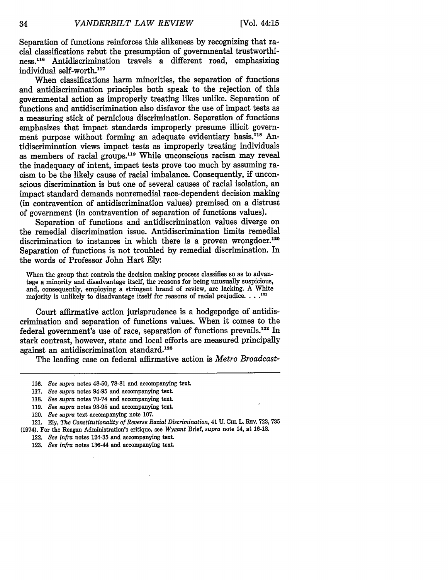Separation of functions reinforces this alikeness by recognizing that racial classifications rebut the presumption of governmental trustworthiness.116 Antidiscrimination travels a different road, emphasizing individual self-worth.<sup>117</sup>

When classifications harm minorities, the separation of functions and antidiscrimination principles both speak to the rejection of this governmental action as improperly treating likes unlike. Separation of functions and antidiscrimination also disfavor the use of impact tests as a measuring stick of pernicious discrimination. Separation of functions emphasizes that impact standards improperly presume illicit government purpose without forming an adequate evidentiary basis.<sup>118</sup> Antidiscrimination views impact tests as improperly treating individuals as members of racial groups.<sup>119</sup> While unconscious racism may reveal the inadequacy of intent, impact tests prove too much by assuming racism to be the likely cause of racial imbalance. Consequently, if unconscious discrimination is but one of several causes of racial isolation, an impact standard demands nonremedial race-dependent decision making (in contravention of antidiscrimination values) premised on a distrust of government (in contravention of separation of functions values).

Separation of functions and antidiscrimination values diverge on the remedial discrimination issue. Antidiscrimination limits remedial discrimination to instances in which there is a proven wrongdoer.<sup>120</sup> Separation of functions is not troubled by remedial discrimination. In the words of Professor John Hart Ely:

When the group that controls the decision making process classifies so as to advantage a minority and disadvantage itself, the reasons for being unusually suspicious, and, consequently, employing a stringent brand of review, are lacking. A White majority is unlikely to disadvantage itself for reasons of racial prejudice.  $\ldots$ <sup>121</sup>

Court affirmative action jurisprudence is a hodgepodge of antidiscrimination and separation of functions values. When it comes to the federal government's use of race, separation of functions prevails.<sup>122</sup> In stark contrast, however, state and local efforts are measured principally against an antidiscrimination standard.<sup>123</sup>

The leading case on federal affirmative action is *Metro Broadcast-*

<sup>116.</sup> *See supra* notes 48-50, 78-81 and accompanying text.

<sup>117.</sup> *See supra* notes 94-95 and accompanying text.

<sup>118.</sup> *See supra* notes 70-74 and accompanying text.

<sup>119.</sup> *See supra* notes 93-95 and accompanying text.

<sup>120.</sup> *See supra* text accompanying note 107.

<sup>121.</sup> Ely, *The Constitutionality of Reverse Racial Discrimination,* 41U. CHL L. Rav. 723, **735** (1974). For the Reagan Administration's critique, see *Wygant* Brief, *supra* note 14, at 16-18.

<sup>122.</sup> *See infra* notes 124-35 and accompanying text.

<sup>123.</sup> *See infra* notes 136-44 and accompanying text.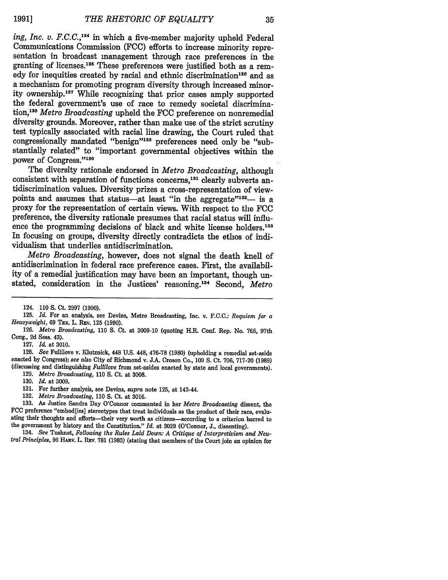*ing, Inc. v. F.C.C.,124* in which a five-member majority upheld Federal Communications Commission (FCC) efforts to increase minority representation in broadcast management through race preferences in the granting of licenses.<sup>125</sup> These preferences were justified both as a remedy for inequities created by racial and ethnic discrimination<sup>126</sup> and as a mechanism for promoting program diversity through increased minority ownership.<sup>127</sup> While recognizing that prior cases amply supported the federal government's use of race to remedy societal discrimination,<sup>128</sup> Metro Broadcasting upheld the FCC preference on nonremedial diversity grounds. Moreover, rather than make use of the strict scrutiny test typically associated with racial line drawing, the Court ruled that congressionally mandated "benign"'129 preferences need only be "substantially related" to "important governmental objectives within the power of Congress."130

The diversity rationale endorsed in *Metro Broadcasting,* although consistent with separation of functions concerns,<sup>131</sup> clearly subverts antidiscrimination values. Diversity prizes a cross-representation of viewpoints and assumes that status—at least "in the aggregate" $132$ — is a proxy for the representation of certain views. With respect to the FCC preference, the diversity rationale presumes that racial status will influence the programming decisions of black and white license holders.<sup>133</sup> In focusing on groups, diversity directly contradicts the ethos of individualism that underlies antidiscrimination.

*Metro Broadcasting,* however, does not signal the death knell of antidiscrimination in federal race preference cases. First, the availability of a remedial justification may have been an important, though unstated, consideration in the Justices' reasoning.13' Second, *Metro*

128. *See* Fullilove v. Klutznick, 448 U.S. 448, 476-78 (1980) (upholding a remedial set-aside enacted by Congress); *see also* City of Richmond v. J.A. Croson Co., 109 S. Ct. 706, 717-20 (1989) (discussing and distinguishing *Fullilove* from set-asides enacted by state and local governments).

**130.** *Id.* at **3009.**

*tral Principles,* **96** HARV. L. Rav. **781 (1983)** (stating that members of the Court join an opinion for

<sup>124. 110</sup> **S.** Ct. 2997 (1990).

**<sup>125.</sup>** *Id.* For an **analysis,** see Devins, Metro Broadcasting, Inc. v. **F.C.C.:** *Requiem for a Heavyweight,* 69 TEX. L. REv. 125 (1990).

<sup>126.</sup> *Metro Broadcasting,* 110 **S.** Ct. at 3009-10 (quoting H.R. Conf. Rep. No. 765, 97th Cong., 2d Sess. 43).

<sup>127.</sup> *Id.* at 3010.

**<sup>129.</sup>** *Metro Broadcasting,* **110 S.** Ct. at **3008.**

**<sup>131.</sup>** For further analysis, see Devins, *supra* note **125,** at 143-44.

**<sup>132.</sup>** *Metro Broadcasting,* **110 S.** Ct. at **3016.**

**<sup>133.</sup>** As Justice Sandra Day O'Connor commented in her *Metro Broadcasting* dissent, the **FCC** preference "embod[ies] stereotypes that treat individuals as the product of their race, evaluating their thoughts and efforts-their very worth as citizens-according to a criterion harred to the government **by** history and the Constitution." *Id.* at **3029** (O'Connor, **J.,** dissenting). 134. *See* Tushnet, *Following the Rules Laid Down: A Critique of Interpretivism and Neu-*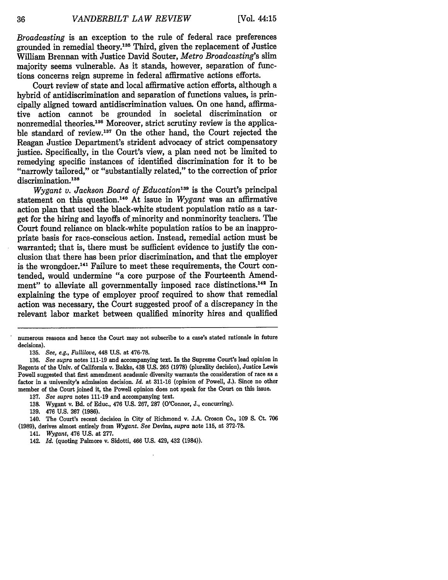*Broadcasting* is an exception to the rule of federal race preferences grounded in remedial theory.<sup>135</sup> Third, given the replacement of Justice William Brennan with Justice David Souter, *Metro Broadcasting's* slim majority seems vulnerable. As it stands, however, separation of functions concerns reign supreme in federal affirmative actions efforts.

Court review of state and local affirmative action efforts, although a hybrid of antidiscrimination and separation of functions values, is principally aligned toward antidiscrimination values. On one hand, affirmative action cannot be grounded in societal discrimination or nonremedial theories.<sup>136</sup> Moreover, strict scrutiny review is the applicable standard of review.137 On the other hand, the Court rejected the Reagan Justice Department's strident advocacy of strict compensatory justice. Specifically, in the Court's view, a plan need not be limited to remedying specific instances of identified discrimination for it to be "narrowly tailored," or "substantially related," to the correction of prior discrimination.<sup>138</sup>

*Wygant v. Jackson Board of Education139* is the Court's principal statement on this question.<sup>140</sup> At issue in *Wygant* was an affirmative action plan that used the black-white student population ratio as a target for the hiring and layoffs of minority and nonminority teachers. The Court found reliance on black-white population ratios to be an inappropriate basis for race-conscious action. Instead, remedial action must be warranted; that is, there must be sufficient evidence to justify the conclusion that there has been prior discrimination, and that the employer is the wrongdoer.<sup>141</sup> Failure to meet these requirements, the Court contended, would undermine "a core purpose of the Fourteenth Amendment" to alleviate all governmentally imposed race distinctions.<sup>142</sup> In explaining the type of employer proof required to show that remedial action was necessary, the Court suggested proof of a discrepancy in the relevant labor market between qualified minority hires and qualified

numerous reasons and hence the Court may not subscribe to a case's stated rationale in future decisions).

<sup>135.</sup> *See, e.g., Fullilove,* 448 U.S. at 476-78.

<sup>136.</sup> *See supra* notes 111-19 and accompanying text. In the Supreme Court's lead opinion in Regents of the Univ. of California v. Bakke, 438 U.S. 265 **(1978)** (plurality decision), Justice Lewis Powell suggested that first amendment academic diversity warrants the consideration of race as a factor in a university's admission decision. *Id.* at 311-16 (opinion of Powell, J.). Since no other member of the Court joined it, the Powell opinion does not speak for the Court on this issue.

<sup>137.</sup> *See supra* notes 111-19 and accompanying text.

<sup>138.</sup> Wygant v. Bd. of Educ., 476 U.S. 267, 287 (O'Connor, J., concurring).

<sup>139. 476</sup> U.S. **267** (1986).

<sup>140.</sup> The Court's recent decision in City of Richmond v. J.A. Croson Co., 109 **S.** Ct. 706

<sup>(1989),</sup> derives almost entirely from *Wygant. See* Devins, *supra* note 115, at 372-78.

<sup>141.</sup> *Wygant,* 476 U.S. at 277.

<sup>142.</sup> *Id.* (quoting Palmore v. Sidotti, 466 U.S. 429, 432 (1984)).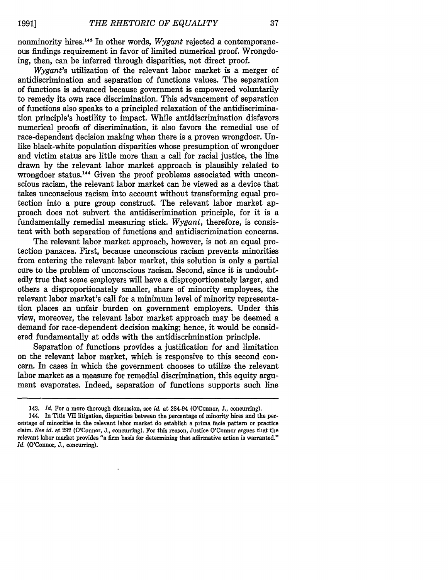nonminority hires.143 In other words, *Wygant* rejected a contemporaneous findings requirement in favor of limited numerical proof. Wrongdoing, then, can be inferred through disparities, not direct proof.

*Wygant's* utilization of the relevant labor market is a merger of antidiscrimination and separation of functions values. The separation of functions is advanced because government is empowered voluntarily to remedy its own race discrimination. This advancement of separation of functions also speaks to a principled relaxation of the antidiscrimination principle's hostility to impact. While antidiscrimination disfavors numerical proofs of discrimination, it also favors the remedial use of race-dependent decision making when there is a proven wrongdoer. Unlike black-white population disparities whose presumption of wrongdoer and victim status are little more than a call for racial justice, the line drawn by the relevant labor market approach is plausibly related to wrongdoer status.<sup>144</sup> Given the proof problems associated with unconscious racism, the relevant labor market can be viewed as a device that takes unconscious racism into account without transforming equal protection into a pure group construct. The relevant labor market approach does not subvert the antidiscrimination principle, for it is a fundamentally remedial measuring stick. *Wygant,* therefore, is consistent with both separation of functions and antidiscrimination concerns.

The relevant labor market approach, however, is not an equal protection panacea. First, because unconscious racism prevents minorities from entering the relevant labor market, this solution is only a partial cure to the problem of unconscious racism. Second, since it is undoubtedly true that some employers will have a disproportionately larger, and others a disproportionately smaller, share of minority employees, the relevant labor market's call for a minimum level of minority representation places an unfair burden on government employers. Under this view, moreover, the relevant labor market approach may be deemed a demand for race-dependent decision making; hence, it would be considered fundamentally at odds with the antidiscrimination principle.

Separation of functions provides a justification for and limitation on the relevant labor market, which is responsive to this second concern. In cases in which the government chooses to utilize the relevant labor market as a measure for remedial discrimination, this equity argument evaporates. Indeed, separation of functions supports such line

<sup>143.</sup> *Id.* For a more thorough discussion, see *id.* at 284-94 (O'Connor, **J.,** concurring).

<sup>144.</sup> In Title VII litigation, disparities between the percentage of minority hires and the percentage of minorities in the relevant labor market do establish a prima facie pattern or practice claim. *See id.* at **292** (O'Connor, **J.,** concurring). For this reason, Justice O'Connor argues that the relevant labor market provides "a firm basis for determining that affirmative action is warranted." *Id.* (O'Connor, **J.,** concurring).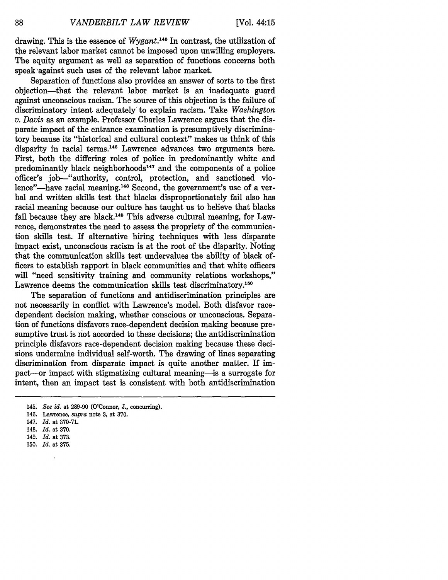drawing. This is the essence of *Wygant.145* In contrast, the utilization of the relevant labor market cannot be imposed upon unwilling employers. The equity argument as well as separation of functions concerns both speak against such uses of the relevant labor market.

Separation of functions also provides an answer of sorts to the first objection-that the relevant labor market is an inadequate guard against unconscious racism. The source of this objection is the failure of discriminatory intent adequately to explain racism. Take *Washington v. Davis* as an example. Professor Charles Lawrence argues that the disparate impact of the entrance examination is presumptively discriminatory because its "historical and cultural context" makes us think of this disparity in racial terms.<sup>146</sup> Lawrence advances two arguments here. First, both the differing roles of police in predominantly white and predominantly black neighborhoods<sup>147</sup> and the components of a police officer's job-"authority, control, protection, and sanctioned violence"—have racial meaning.<sup>148</sup> Second, the government's use of a verbal and written skills test that blacks disproportionately fail also has racial meaning because our culture has taught us to believe that blacks fail because they are black.<sup>149</sup> This adverse cultural meaning, for Lawrence, demonstrates the need to assess the propriety of the communication skills test. If alternative hiring techniques with less disparate impact exist, unconscious racism is at the root of the disparity. Noting that the communication skills test undervalues the ability of black officers to establish rapport in black communities and that white officers will "need sensitivity training and community relations workshops," Lawrence deems the communication skills test discriminatory.<sup>150</sup>

The separation of functions and antidiscrimination principles are not necessarily in conflict with Lawrence's model. Both disfavor racedependent decision making, whether conscious or unconscious. Separation of functions disfavors race-dependent decision making because presumptive trust is not accorded to these decisions; the antidiscrimination principle disfavors race-dependent decision making because these decisions undermine individual self-worth. The drawing of lines separating discrimination from disparate impact is quite another matter. If impact-or impact with stigmatizing cultural meaning-is a surrogate for intent, then an impact test is consistent with both antidiscrimination

- 147. *Id.* at 370-71.
- 148. *Id.* at 370.
- 149. *Id.* at 373.
- 150. *Id.* at 375.

 $\ddot{\phantom{a}}$ 

<sup>145.</sup> *See id.* at 289-90 (O'Connor, J., concurring).

<sup>146.</sup> Lawrence, *supra* note 3, at 370.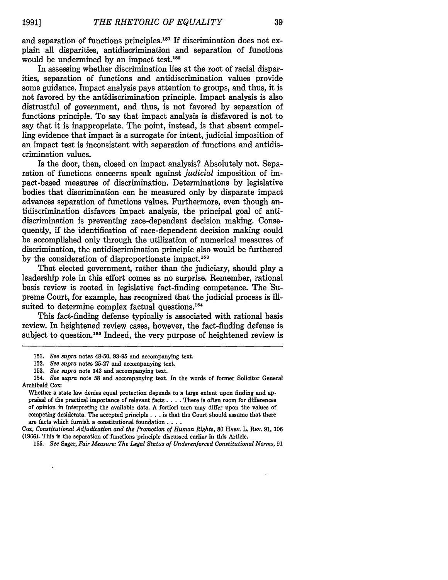and separation of functions principles.<sup>151</sup> If discrimination does not explain all disparities, antidiscrimination and separation of functions would be undermined by an impact test.<sup>152</sup>

In assessing whether discrimination lies at the root of racial disparities, separation of functions and antidiscrimination values provide some guidance. Impact analysis pays attention to groups, and thus, it is not favored **by** the antidiscrimination principle. Impact analysis is also distrustful of government, and thus, is not favored **by** separation of functions principle. To say that impact analysis is disfavored is not to say that it is inappropriate. The point, instead, is that absent compelling evidence that impact is a surrogate for intent, judicial imposition of an impact test is inconsistent with separation of functions and antidiscrimination values.

Is the door, then, closed on impact analysis? Absolutely not. Separation of functions concerns speak against *judicial* imposition of impact-based measures of discrimination. Determinations **by** legislative bodies that discrimination can be measured only **by** disparate impact advances separation of functions values. Furthermore, even though antidiscrimination disfavors impact analysis, the principal goal of antidiscrimination is preventing race-dependent decision making. Consequently, if the identification of race-dependent decision making could be accomplished only through the utilization of numerical measures of discrimination, the antidiscrimination principle also would be furthered **by** the consideration of disproportionate impact. <sup>153</sup>

That elected government, rather than the judiciary, should play a leadership role in this effort comes as no surprise. Remember, rational basis review is rooted in legislative fact-finding competence. The 'Supreme Court, for example, has recognized that the judicial process is illsuited to determine complex factual questions. $154$ 

This fact-finding defense typically is associated with rational basis review. In heightened review cases, however, the fact-finding defense is subject to question.<sup>155</sup> Indeed, the very purpose of heightened review is

Cox, *Constitutional Adjudication and the Promotion of Human Rights,* **80** HARv. L. REV. 91, 106 (1966). This is the separation of functions principle discussed earlier in this Article.

**<sup>151.</sup>** *See supra* notes 48-50, **93-95** and accompanying text.

<sup>152.</sup> *See supra* notes 25-27 and accompanying text.

<sup>153.</sup> *See supra* note 143 and accompanying text.

<sup>154.</sup> *See supra* note 58 and accompanying text. In the words of former Solicitor General Archibald Cox:

Whether a state law denies equal protection depends to a large extent upon finding and appraisal of the practical importance of relevant facts. . **.** . There is often room for differences of opinion in interpreting the available data. A fortiori men may differ upon the values of competing desiderata. The accepted principle. **. .** is that the Court should assume that there are facts which furnish a constitutional foundation **..**

<sup>155.</sup> *See* Sager, *Fair Measure: The Legal Status of Underenforced Constitutional Norms,* 91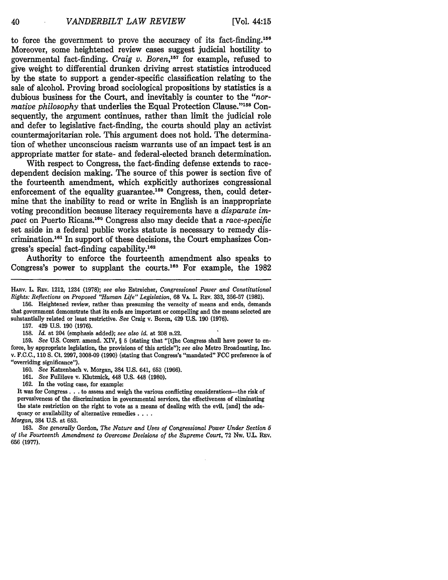40

to force the government to prove the accuracy of its fact-finding.<sup>156</sup> Moreover, some heightened review cases suggest judicial hostility to governmental fact-finding. *Craig v. Boren,157* for example, refused to give weight to differential drunken driving arrest statistics introduced by the state to support a gender-specific classification relating to the sale of alcohol. Proving broad sociological propositions by statistics is a dubious business for the Court, and inevitably is counter to the *"normative philosophy* that underlies the Equal Protection Clause."158 Consequently, the argument continues, rather than limit the judicial role and defer to legislative fact-finding, the courts should play an activist countermajoritarian role. This argument does not hold. The determination of whether unconscious racism warrants use of an impact test is an appropriate matter for state- and federal-elected branch determination.

With respect to Congress, the fact-finding defense extends to racedependent decision making. The source of this power is section five of the fourteenth amendment, which explicitly authorizes congressional enforcement of the equality guarantee.<sup>159</sup> Congress, then, could determine that the inability to read or write in English is an inappropriate voting precondition because literacy requirements have a *disparate im*pact on Puerto Ricans.<sup>160</sup> Congress also may decide that a *race-specific* set aside in a federal public works statute is necessary to remedy discrimination.<sup>161</sup> In support of these decisions, the Court emphasizes Congress's special fact-finding capability.<sup>162</sup>

Authority to enforce the fourteenth amendment also speaks to Congress's power to supplant the courts.<sup>163</sup> For example, the  $1982$ 

**HARv.** L. REv. 1212, 1234 (1978); see also Estreicher, *Congressional Power and Constitutional Rights: Reflections on Proposed "Human Life" Legislation,* 68 VA. L. REV. 333, 356-57 (1982).

156. Heightened review, rather than presuming the veracity of means and ends, demands that government demonstrate that its ends are important or compelling and the means selected are substantially related or least restrictive. *See* Craig v. Boren, 429 U.S. 190 (1976).

157. 429 U.S. 190 (1976).

158. *Id.* at 204 (emphasis added); *see also id.* at 208 n.22.

159. *See* U.S. CONST. amend. XIV, § 5 (stating that "[t]he Congress shall have power to enforce, by appropriate legislation, the provisions of this article"); *see also* Metro Broadcasting, Inc. v. **F.C.C.,** 110 **S.** Ct. 2997, 3008-09 (1990) (stating that Congress's "mandated" **FCC** preference is of "overriding significance").

160. *See* Katzenbach v. Morgan, 384 U.S. 641, 653 (1966).

161. *See* Fullilove v. Klutznick, 448 U.S. 448 (1980).

162. In the voting case, for example:

It was for Congress. **.** .to assess and weigh the various conflicting considerations-the risk of pervasiveness of the discrimination in governmental services, the effectiveness of eliminating the state restriction on the right to vote as a means of dealing with the evil, [and] the adequacy or availability of alternative remedies. **...**

*Morgan,* 384 U.S. at 653.

163. *See generally* Gordon, *The Nature and Uses of Congressional Power Under Section 5 of the Fourteenth Amendment* to *Overcome Decisions of the Supreme Court,* 72 Nw. U.L. REV. 656 (1977).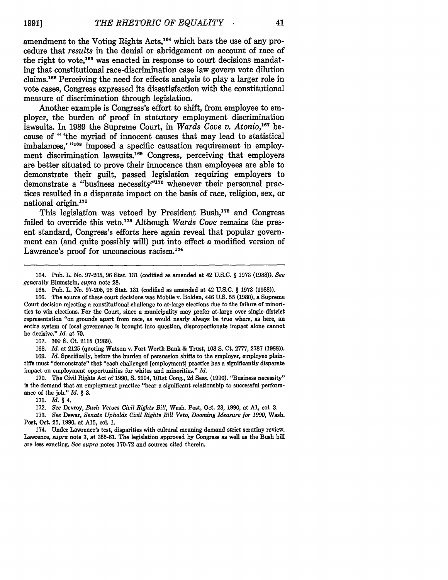amendment to the Voting Rights Acts,<sup>164</sup> which bars the use of any procedure that *results* in the denial or abridgement on account of race of the right to vote,<sup>165</sup> was enacted in response to court decisions mandating that constitutional race-discrimination case law govern vote dilution claims.1 66 Perceiving the need for effects analysis to play a larger role in vote cases, Congress expressed its dissatisfaction with the constitutional measure of discrimination through legislation.

Another example is Congress's effort to shift, from employee to employer, the burden of proof in statutory employment discrimination lawsuits. In 1989 the Supreme Court, in *Wards Cove v. Atonio*,<sup>167</sup> because of "'the myriad of innocent causes that may lead to statistical imbalances,' **"168** imposed a specific causation requirement in employment discrimination lawsuits.<sup>169</sup> Congress, perceiving that employers are better situated to prove their innocence than employees are able to demonstrate their guilt, passed legislation requiring employers to demonstrate a "business necessity"170 whenever their personnel practices resulted in a disparate impact on the basis of race, religion, sex, or national origin.171

This legislation was vetoed **by** President Bush,172 and Congress failed to override this veto.<sup>178</sup> Although *Wards Cove* remains the present standard, Congress's efforts here again reveal that popular government can (and quite possibly will) put into effect a modified version of Lawrence's proof for unconscious racism.<sup>174</sup>

167. 109 *S.* Ct. 2115 (1989).

168. *Id.* at 2125 (quoting Watson v. Fort Worth Bank & Trust, 108 **S.** Ct. 2777, 2787 (1988)). 169. *Id.* Specifically, before the burden of persuasion shifts to the employer, employee plaintiffs must "demonstrate" that "each challenged [employment] practice has a significantly disparate impact on employment opportunities for whites and minorities." *Id.*

170. The Civil Rights Act of 1990, **S.** 2104, 101st Cong., 2d Sess. (1990). "Business necessity" is the demand that an employment practice "bear a significant relationship to successful performance of the job." *Id.* § **3.**

171. *Id. §* 4.

172. *See* Devroy, *Bush Vetoes Civil Rights Bill,* Wash. Post, Oct. 23, 1990, at **Al,** col. 3.

**173.** *See* Dewar, *Senate Upholds Civil Rights Bill Veto, Dooming Measure for 1990,* Wash. Post, Oct. 25, 1990, at **A15,** col. 1.

174. Under Lawrence's test, disparities with cultural meaning demand strict scrutiny review. Lawrence, *supra* note 3, at **355-81.** The legislation approved by Congress as well as the Bush bill are less exacting. *See supra* notes 170-72 and sources cited therein.

<sup>164.</sup> Pub. L. No. 97-205, 96 Stat. **131** (codified as amended at 42 U.S.C. § 1973 (1988)). *See generally* Blumstein, *supra* note **28.**

<sup>165.</sup> Pub. L. No. 97-205, 96 Stat. 131 (codified as amended at 42 U.S.C. § 1973 (1988)).

<sup>166.</sup> The source of these court decisions was Mobile v. Bolden, 446 U.S. 55 (1980), a Supreme Court decision rejecting a constitutional challenge to at-large elections due to the failure of minorities to win elections. For the Court, since a municipality may prefer at-large over single-district representation "on grounds apart from race, as would nearly always be true where, as here, an entire system of local governance is brought into question, disproportionate impact alone cannot be decisive." *Id.* at 70.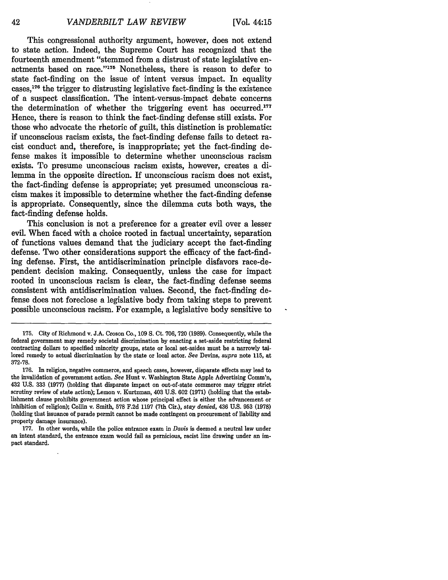This congressional authority argument, however, does not extend to state action. Indeed, the Supreme Court has recognized that the fourteenth amendment "stemmed from a distrust of state legislative enactments based on race."'175 Nonetheless, there is reason to defer to state fact-finding on the issue of intent versus impact. In equality cases, $176$  the trigger to distrusting legislative fact-finding is the existence of a suspect classification. The intent-versus-impact debate concerns the determination of whether the triggering event has occurred. $177$ Hence, there is reason to think the fact-finding defense still exists. For those who advocate the rhetoric of guilt, this distinction is problematic: if unconscious racism exists, the fact-finding defense fails to detect racist conduct and, therefore, is inappropriate; yet the fact-finding defense makes it impossible to determine whether unconscious racism exists. To presume unconscious racism exists, however, creates a dilemma in the opposite direction. If unconscious racism does not exist, the fact-finding defense is appropriate; yet presumed unconscious racism makes it impossible to determine whether the fact-finding defense is appropriate. Consequently, since the dilemma cuts both ways, the fact-finding defense holds.

This conclusion is not a preference for a greater evil over a lesser evil. When faced with a choice rooted in factual uncertainty, separation of functions values demand that the judiciary accept the fact-finding defense. Two other considerations support the efficacy of the fact-finding defense. First, the antidiscrimination principle disfavors race-dependent decision making. Consequently, unless the case for impact rooted in unconscious racism is clear, the fact-finding defense seems consistent with antidiscrimination values. Second, the fact-finding defense does not foreclose a legislative body from taking steps to prevent possible unconscious racism. For example, a legislative body sensitive to

<sup>175.</sup> City of Richmond v. J.A. Croson Co., 109 **S.** Ct. 706, 720 (1989). Consequently, while the federal government may remedy societal discrimination by enacting a set-aside restricting federal contracting dollars to specified minority groups, state or local set-asides must be a narrowly tailored remedy to actual discrimination by the state or local actor. *See* Devins, *supra* note 115, at 372-78.

<sup>176.</sup> In religion, negative commerce, and speech cases, however, disparate effects may lead to the invalidation of government action. See Hunt v. Washington State Apple Advertising Comm'n, 432 U.S. 333 (1977) (holding that disparate impact on out-of-state commerce may trigger strict scrutiny review of state action); Lemon v. Kurtzman, 403 U.S. 602 (1971) (holding that the establishment clause prohibits government action whose principal effect is either the advancement or inhibition of religion); Collin v. Smith, 578 F.2d 1197 (7th Cir.), *stay denied,* 436 U.S. 953 (1978) (holding that issuance of parade permit cannot be made contingent on procurement of liability and property damage insurance).

<sup>177.</sup> In other words, while the police entrance exam in *Davis* is deemed a neutral law under an intent standard, the entrance exam would fail as pernicious, racist line drawing under an impact standard.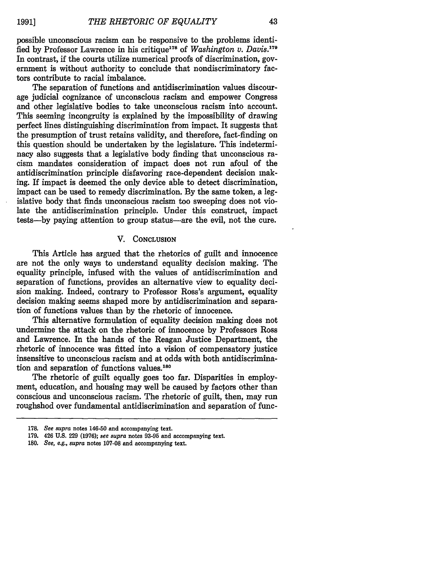possible unconscious racism can be responsive to the problems identified by Professor Lawrence in his critique<sup>178</sup> of *Washington v. Davis.*<sup>179</sup> In contrast, if the courts utilize numerical proofs of discrimination, government is without authority to conclude that nondiscriminatory factors contribute to racial imbalance.

The separation of functions and antidiscrimination values discourage judicial cognizance of unconscious racism and empower Congress and other legislative bodies to take unconscious racism into account. This seeming incongruity is explained by the impossibility of drawing perfect lines distinguishing discrimination from impact. It suggests that the presumption of trust retains validity, and therefore, fact-finding on this question should be undertaken by the legislature. This indeterminacy also suggests that a legislative body finding that unconscious racism mandates consideration of impact does not run afoul of the antidiscrimination principle disfavoring race-dependent decision making. If impact is deemed the only device able to detect discrimination, impact can be used to remedy discrimination. By the same token, a legislative body that finds unconscious racism too sweeping does not violate the antidiscrimination principle. Under this construct, impact tests-by paying attention to group status-are the evil, not the cure.

#### V. CONCLUSION

This Article has argued that the rhetorics of guilt and innocence are not the only ways to understand equality decision making. The equality principle, infused with the values of antidiscrimination and separation of functions, provides an alternative view to equality decision making. Indeed, contrary to Professor Ross's argument, equality decision making seems shaped more by antidiscrimination and separation of functions values than by the rhetoric of innocence.

This alternative formulation of equality decision making does not undermine the attack on the rhetoric of innocence by Professors Ross and Lawrence. In the hands of the Reagan Justice Department, the rhetoric of innocence was fitted into a vision of compensatory justice insensitive to unconscious racism and at odds with both antidiscrimination and separation of functions values.<sup>180</sup>

The rhetoric of guilt equally goes too far. Disparities in employment, education, and housing may well be caused by factors other than conscious and unconscious racism. The rhetoric of guilt, then, may run roughshod over fundamental antidiscrimination and separation of func-

**<sup>178.</sup>** *See supra* notes 146-50 and accompanying text.

**<sup>179.</sup>** 426 **U.S. 229 (1976);** *see supra* notes **93-95** and accompanying text.

*<sup>180.</sup> See, e.g., supra* notes 107-08 and accompanying text.